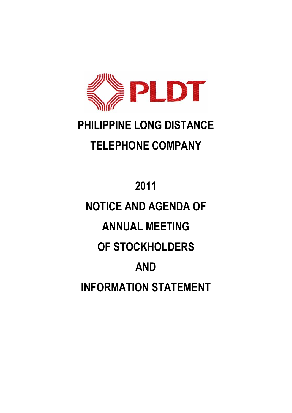

# **PHILIPPINE LONG DISTANCE TELEPHONE COMPANY**

# **2011 NOTICE AND AGENDA OF ANNUAL MEETING OF STOCKHOLDERS AND INFORMATION STATEMENT**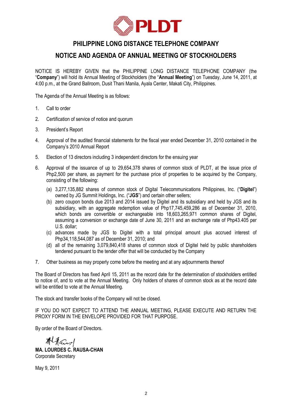

# **PHILIPPINE LONG DISTANCE TELEPHONE COMPANY**

# **NOTICE AND AGENDA OF ANNUAL MEETING OF STOCKHOLDERS**

NOTICE IS HEREBY GIVEN that the PHILIPPINE LONG DISTANCE TELEPHONE COMPANY (the "**Company**") will hold its Annual Meeting of Stockholders (the "**Annual Meeting**") on Tuesday, June 14, 2011, at 4:00 p.m., at the Grand Ballroom, Dusit Thani Manila, Ayala Center, Makati City, Philippines.

The Agenda of the Annual Meeting is as follows:

- 1. Call to order
- 2. Certification of service of notice and quorum
- 3. President's Report
- 4. Approval of the audited financial statements for the fiscal year ended December 31, 2010 contained in the Company's 2010 Annual Report
- 5. Election of 13 directors including 3 independent directors for the ensuing year
- 6. Approval of the issuance of up to 29,654,378 shares of common stock of PLDT, at the issue price of Php2,500 per share, as payment for the purchase price of properties to be acquired by the Company, consisting of the following:
	- (a) 3,277,135,882 shares of common stock of Digital Telecommunications Philippines, Inc. ("**Digitel**") owned by JG Summit Holdings, Inc. ("**JGS**") and certain other sellers;
	- (b) zero coupon bonds due 2013 and 2014 issued by Digitel and its subsidiary and held by JGS and its subsidiary, with an aggregate redemption value of Php17,745,459,286 as of December 31, 2010, which bonds are convertible or exchangeable into 18,603,265,971 common shares of Digitel, assuming a conversion or exchange date of June 30, 2011 and an exchange rate of Php43.405 per U.S. dollar;
	- (c) advances made by JGS to Digitel with a total principal amount plus accrued interest of Php34,118,544,087 as of December 31, 2010; and
	- (d) all of the remaining 3,079,840,418 shares of common stock of Digitel held by public shareholders tendered pursuant to the tender offer that will be conducted by the Company
- 7. Other business as may properly come before the meeting and at any adjournments thereof

The Board of Directors has fixed April 15, 2011 as the record date for the determination of stockholders entitled to notice of, and to vote at the Annual Meeting. Only holders of shares of common stock as at the record date will be entitled to vote at the Annual Meeting.

The stock and transfer books of the Company will not be closed.

IF YOU DO NOT EXPECT TO ATTEND THE ANNUAL MEETING, PLEASE EXECUTE AND RETURN THE PROXY FORM IN THE ENVELOPE PROVIDED FOR THAT PURPOSE.

By order of the Board of Directors.

Alfand **MA. LOURDES C. RAUSA-CHAN**

Corporate Secretary

May 9, 2011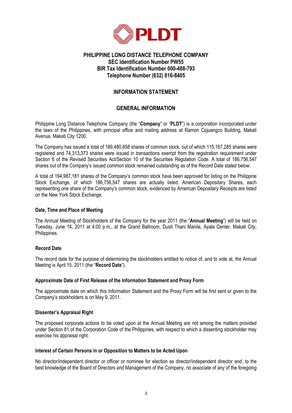

# **PHILIPPINE LONG DISTANCE TELEPHONE COMPANY SEC Identification Number PW55 BIR Tax Identification Number 000-488-793 Telephone Number (632) 816-8405**

#### **INFORMATION STATEMENT**

#### **GENERAL INFORMATION**

Philippine Long Distance Telephone Company (the "**Company**" or "**PLDT**") is a corporation incorporated under the laws of the Philippines, with principal office and mailing address at Ramon Cojuangco Building, Makati Avenue, Makati City 1200.

The Company has issued a total of 189,480,658 shares of common stock, out of which 115,167,285 shares were registered and 74,313,373 shares were issued in transactions exempt from the registration requirement under Section 6 of the Revised Securities Act/Section 10 of the Securities Regulation Code. A total of 186,756,547 shares out of the Company's issued common stock remained outstanding as of the Record Date stated below.

A total of 194,987,181 shares of the Company's common stock have been approved for listing on the Philippine Stock Exchange, of which 186,756,547 shares are actually listed. American Depositary Shares, each representing one share of the Company's common stock, evidenced by American Depositary Receipts are listed on the New York Stock Exchange.

#### **Date, Time and Place of Meeting**

The Annual Meeting of Stockholders of the Company for the year 2011 (the "**Annual Meeting**") will be held on Tuesday, June 14, 2011 at 4:00 p.m., at the Grand Ballroom, Dusit Thani Manila, Ayala Center, Makati City, Philippines.

#### **Record Date**

The record date for the purpose of determining the stockholders entitled to notice of, and to vote at, the Annual Meeting is April 15, 2011 (the "**Record Date**").

#### **Approximate Date of First Release of the Information Statement and Proxy Form**

The approximate date on which this Information Statement and the Proxy Form will be first sent or given to the Company's stockholders is on May 9, 2011.

#### **Dissenter's Appraisal Right**

The proposed corporate actions to be voted upon at the Annual Meeting are not among the matters provided under Section 81 of the Corporation Code of the Philippines, with respect to which a dissenting stockholder may exercise his appraisal right.

#### **Interest of Certain Persons in or Opposition to Matters to be Acted Upon**

No director/independent director or officer or nominee for election as director/independent director and, to the best knowledge of the Board of Directors and Management of the Company, no associate of any of the foregoing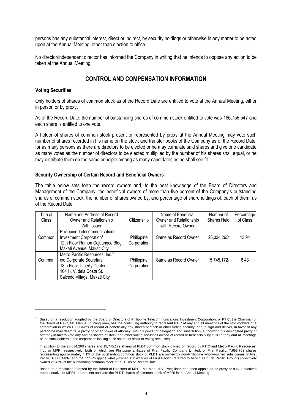persons has any substantial interest, direct or indirect, by security holdings or otherwise in any matter to be acted upon at the Annual Meeting, other than election to office.

No director/independent director has informed the Company in writing that he intends to oppose any action to be taken at the Annual Meeting.

# **CONTROL AND COMPENSATION INFORMATION**

#### **Voting Securities**

1

Only holders of shares of common stock as of the Record Date are entitled to vote at the Annual Meeting, either in person or by proxy.

As of the Record Date, the number of outstanding shares of common stock entitled to vote was 186,756,547 and each share is entitled to one vote.

A holder of shares of common stock present or represented by proxy at the Annual Meeting may vote such number of shares recorded in his name on the stock and transfer books of the Company as of the Record Date, for as many persons as there are directors to be elected or he may cumulate said shares and give one candidate as many votes as the number of directors to be elected multiplied by the number of his shares shall equal, or he may distribute them on the same principle among as many candidates as he shall see fit.

#### **Security Ownership of Certain Record and Beneficial Owners**

The table below sets forth the record owners and, to the best knowledge of the Board of Directors and Management of the Company, the beneficial owners of more than five percent of the Company's outstanding shares of common stock, the number of shares owned by, and percentage of shareholdings of, each of them, as of the Record Date.

| Title of | Name and Address of Record                 |             | Name of Beneficial     | Number of               | Percentage |
|----------|--------------------------------------------|-------------|------------------------|-------------------------|------------|
| Class    | Owner and Relationship                     | Citizenship | Owner and Relationship | Shares Held             | of Class   |
|          | With Issuer                                |             | with Record Owner      |                         |            |
|          | Philippine Telecommunications              |             |                        |                         |            |
| Common   | Investment Corporation <sup>1</sup>        | Philippine  | Same as Record Owner   | 26,034,263 <sup>2</sup> | 13.94      |
|          | 12th Floor Ramon Cojuangco Bldg.           | Corporation |                        |                         |            |
|          | Makati Avenue, Makati City                 |             |                        |                         |            |
|          | Metro Pacific Resources, Inc. <sup>3</sup> |             |                        |                         |            |
| Common   | c/o Corporate Secretary                    | Philippine  | Same as Record Owner   | 15,745,172 <sup>2</sup> | 8.43       |
|          | 18th Floor, Liberty Center                 | Corporation |                        |                         |            |
|          | 104 H. V. dela Costa St.                   |             |                        |                         |            |
|          | Salcedo Village, Makati City               |             |                        |                         |            |

<sup>1</sup> Based on a resolution adopted by the Board of Directors of Philippine Telecommunications Investment Corporation, or PTIC, the Chairman of the Board of PTIC, Mr. Manuel V. Pangilinan, has the continuing authority to represent PTIC at any and all meetings of the stockholders of a corporation in which PTIC owns of record or beneficially any shares of stock or other voting security, and to sign and deliver, in favor of any person he may deem fit, a proxy or other power of attorney, with full power of delegation and substitution, authorizing his designated proxy or attorney-in-fact to vote any and all shares of stock and other voting securities owned of record or beneficially by PTIC at any and all meetings of the stockholders of the corporation issuing such shares of stock or voting securities.

 $2$  In addition to the 26,034,263 shares and 15,745,172 shares of PLDT common stock owned on record by PTIC and Metro Pacific Resources, Inc., or MPRI, respectively, both of which are Philippine affiliates of First Pacific Company Limited, or First Pacific, 7,653,703 shares representing approximately 4.1% of the outstanding common stock of PLDT are owned by non-Philippine wholly-owned subsidiaries of First Pacific. PTIC, MPRI and the non-Philippine wholly-owned subsidiaries of First Pacific (referred to herein as "First Pacific Group") collectively owned 26.47% of the outstanding common stock of PLDT as of Record Date.

<sup>3</sup> Based on a resolution adopted by the Board of Directors of MPRI, Mr. Manuel V. Pangilinan has been appointed as proxy or duly authorized representative of MPRI to represent and vote the PLDT shares of common stock of MPRI in the Annual Meeting.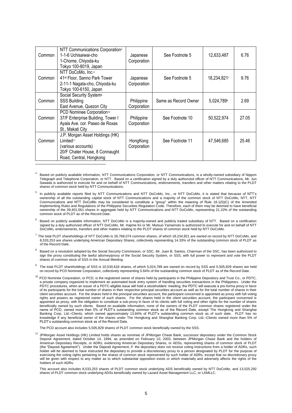| Common | NTT Communications Corporation4<br>1-1-6 Uchisaiwai-cho<br>1-Chome, Chiyoda-ku<br>Tokyo 100-8019, Japan                                     | Japanese<br>Corporation   | See Footnote 5       | 12,633,487  | 6.76  |
|--------|---------------------------------------------------------------------------------------------------------------------------------------------|---------------------------|----------------------|-------------|-------|
| Common | NTT DoCoMo, Inc. <sup>6</sup><br>41 <sup>st</sup> Floor, Sanno Park Tower<br>2-11-1 Nagata-cho, Chiyoda-ku<br>Tokyo 100-6150, Japan         | Japanese<br>Corporation   | See Footnote 5       | 18,234,8217 | 9.76  |
| Common | Social Security System <sup>8</sup><br><b>SSS Building</b><br>East Avenue, Quezon City                                                      | Philippine<br>Corporation | Same as Record Owner | 5,024,789   | 2.69  |
| Common | PCD Nominee Corporation <sup>10</sup><br>37/F Enterprise Building, Tower I<br>Ayala Ave. cor. Paseo de Roxas<br>St., Makati City            | Philippine<br>Corporation | See Footnote 10      | 50,522,974  | 27.05 |
| Common | J.P. Morgan Asset Holdings (HK)<br>Limited <sup>11</sup><br>(various accounts)<br>20/F Chater House, 8 Connaught<br>Road, Central, Hongkong | HongKong<br>Corporation   | See Footnote 11      | 47,546,685  | 25.46 |

- <sup>4</sup> Based on publicly available information, NTT Communications Corporation, or NTT Communications, is a wholly-owned subsidiary of Nippon Telegraph and Telephone Corporation, or NTT. Based on a certification signed by a duly authorized officer of NTT Communications, Mr. Jun Sawada is authorized to execute for and on behalf of NTT Communications, endorsements, transfers and other matters relating to the PLDT shares of common stock held by NTT Communications.
- 5 In publicly available reports filed by NTT Communications and NTT DoCoMo, Inc., or NTT DoCoMo, it is stated that because of NTT's ownership of all the outstanding capital stock of NTT Communications and a majority of the common stock of NTT DoCoMo, NTT, NTT Communications and NTT DoCoMo may be considered to constitute a "group" within the meaning of Rule 18.1(5)(C) of the Amended Implementing Rules and Regulations of the Philippine Securities Regulation Code. Therefore, each of them may be deemed to have beneficial ownership of the 39,401,561 shares in aggregate held by NTT Communications and NTT DoCoMo, representing 21.10% of the outstanding common stock of PLDT as of the Record Date.
- 6 Based on publicly available information, NTT DoCoMo is a majority-owned and publicly traded subsidiary of NTT. Based on a certification signed by a duly authorized officer of NTT DoCoMo, Mr. Hajime Kii or Mr. Mutsuo Yamamoto is authorized to execute for and on behalf of NTT DoCoMo, endorsements, transfers and other matters relating to the PLDT shares of common stock held by NTT DoCoMo.
- $^7$  The total PLDT shareholdings of NTT DoCoMo is 26,768,074 common shares, of which 18,234,821 are owned on record by NTT DoCoMo, and 8,533,253 are shares underlying American Depositary Shares, collectively representing 14.33% of the outstanding common stock of PLDT as of the Record Date.
- 8 Based on a resolution adopted by the Social Security Commission, or SSC, Mr. Juan B. Santos, Chairman of the SSC, has been authorized to sign the proxy constituting the lawful attorney/proxy of the Social Security System, or SSS, with full power to represent and yote the PLDT shares of common stock of SSS in the Annual Meeting.
- $9$  The total PLDT shareholdings of SSS is 10,530,618 shares, of which 5,024,789 are owned on record by SSS and 5,505,829 shares are held on record by PCD Nominee Corporation, collectively representing 5.64% of the outstanding common stock of PLDT as of the Record Date.
- <sup>10</sup> PCD Nominee Corporation, or PCD, is the registered owner of shares held by participants in the Philippine Depository and Trust Co., or PDTC, a private company organized to implement an automated book entry system of handling securities transactions in the Philippines. Under the PDTC procedures, when an issuer of a PDTC-eligible issue will hold a stockholders' meeting, the PDTC will execute a pro-forma proxy in favor of its participants for the total number of shares in their respective principal securities account as well as for the total number of shares in their client securities account. For the shares held in the principal securities account, the participant concerned is appointed as proxy with full voting rights and powers as registered owner of such shares. For the shares held in the client securities account, the participant concerned is appointed as proxy, with the obligation to constitute a sub-proxy in favor of its clients with full voting and other rights for the number of shares beneficially owned by such clients. Based on available information, none of the owners of the PLDT common shares registered under the name of PCD, owned more than 5% of PLDT's outstanding common stock as of the Record Date, except The Hongkong and Shanghai<br>Banking Corp | td -Clients which owned approximately 13.84% of PLDT's outstanding common stock as o Banking Corp. Ltd.–Clients, which owned approximately 13.84% of PLDT's outstanding common stock as of such date. knowledge if any beneficial owner of the shares under The Hongkong and Shanghai Banking Corp. Ltd.–Clients owned more than 5% of PLDT's outstanding common stock as of the Record Date.

The PCD account also includes 5,505,829 shares of PLDT common stock beneficially owned by the SSS.

<sup>11</sup> JPMorgan Asset Holdings (HK) Limited holds shares as nominee of JPMorgan Chase Bank, successor depositary under the Common Stock Deposit Agreement, dated October 14, 1994, as amended on February 10, 2003, between JPMorgan Chase Bank and the holders of American Depositary Receipts, or ADRs, evidencing American Depositary Shares, or ADSs, representing shares of common stock of PLDT (the "Deposit Agreement"). Under the Deposit Agreement, if the depositary does not receive voting instructions from a holder of ADRs, such holder will be deemed to have instructed the depositary to provide a discretionary proxy to a person designated by PLDT for the purpose of exercising the voting rights pertaining to the shares of common stock represented by such holder of ADRs, except that no discretionary proxy will be given with respect to any matter as to which substantial opposition exists or which materially and adversely affects the rights of the holders of such ADRs.

This account also includes 8,533,253 shares of PLDT common stock underlying ADS beneficially owned by NTT DoCoMo, and 13,525,292 shares of PLDT common stock underlying ADSs beneficially owned by Lazard Asset Management LLC, or LAMLLC.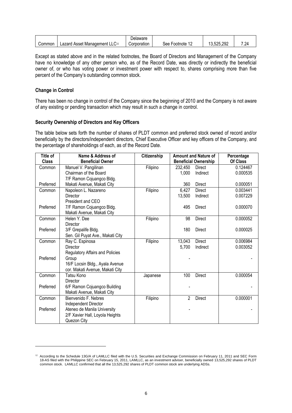|        |                                                     | Delaware    |              |            |      |
|--------|-----------------------------------------------------|-------------|--------------|------------|------|
| Common | $\sim$<br>Lazard Asset Management LLC <sup>12</sup> | Corporation | See Footnote | 13,525,292 | 7.24 |

Except as stated above and in the related footnotes, the Board of Directors and Management of the Company have no knowledge of any other person who, as of the Record Date, was directly or indirectly the beneficial owner of, or who has voting power or investment power with respect to, shares comprising more than five percent of the Company's outstanding common stock.

#### **Change in Control**

1

There has been no change in control of the Company since the beginning of 2010 and the Company is not aware of any existing or pending transaction which may result in such a change in control.

#### **Security Ownership of Directors and Key Officers**

The table below sets forth the number of shares of PLDT common and preferred stock owned of record and/or beneficially by the directors/independent directors, Chief Executive Officer and key officers of the Company, and the percentage of shareholdings of each, as of the Record Date.

| Title of     | Name & Address of                | Citizenship | <b>Amount and Nature of</b> |                             | Percentage |
|--------------|----------------------------------|-------------|-----------------------------|-----------------------------|------------|
| <b>Class</b> | <b>Beneficial Owner</b>          |             |                             | <b>Beneficial Ownership</b> | Of Class   |
| Common       | Manuel V. Pangilinan             | Filipino    | 232,450                     | Direct                      | 0.124467   |
|              | Chairman of the Board            |             | 1,000                       | Indirect                    | 0.000535   |
|              | 7/F Ramon Cojuangco Bldg.        |             |                             |                             |            |
| Preferred    | Makati Avenue, Makati City       |             | 360                         | <b>Direct</b>               | 0.000051   |
| Common       | Napoleon L. Nazareno             | Filipino    | 6,427                       | <b>Direct</b>               | 0.003441   |
|              | <b>Director</b>                  |             | 13,500                      | Indirect                    | 0.007229   |
|              | President and CEO                |             |                             |                             |            |
| Preferred    | 7/F Ramon Cojuangco Bldg.        |             | 495                         | <b>Direct</b>               | 0.000070   |
|              | Makati Avenue, Makati City       |             |                             |                             |            |
| Common       | Helen Y. Dee                     | Filipino    | 98                          | <b>Direct</b>               | 0.000052   |
|              | <b>Director</b>                  |             |                             |                             |            |
| Preferred    | 3/F Grepalife Bldg.              |             | 180                         | <b>Direct</b>               | 0.000025   |
|              | Sen. Gil Puyat Ave., Makati City |             |                             |                             |            |
| Common       | Ray C. Espinosa                  | Filipino    | 13,043                      | <b>Direct</b>               | 0.006984   |
|              | <b>Director</b>                  |             | 5,700                       | Indirect                    | 0.003052   |
|              | Regulatory Affairs and Policies  |             |                             |                             |            |
| Preferred    | Group                            |             |                             |                             |            |
|              | 16/F Locsin Bldg., Ayala Avenue  |             |                             |                             |            |
|              | cor. Makati Avenue, Makati City  |             |                             |                             |            |
| Common       | Tatsu Kono                       | Japanese    | 100                         | Direct                      | 0.000054   |
|              | Director                         |             |                             |                             |            |
| Preferred    | 6/F Ramon Cojuangco Building     |             |                             |                             |            |
|              | Makati Avenue, Makati City       |             |                             |                             |            |
| Common       | Bienvenido F. Nebres             | Filipino    | 2                           | <b>Direct</b>               | 0.000001   |
|              | Independent Director             |             |                             |                             |            |
| Preferred    | Ateneo de Manila University      |             |                             |                             |            |
|              | 2/F Xavier Hall, Loyola Heights  |             |                             |                             |            |
|              | Quezon City                      |             |                             |                             |            |

<sup>&</sup>lt;sup>12</sup> According to the Schedule 13G/A of LAMLLC filed with the U.S. Securities and Exchange Commission on February 11, 2011 and SEC Form 18-AS filed with the Philippine SEC on February 15, 2011, LAMLLC, as an investment adviser, beneficially owned 13,525,292 shares of PLDT common stock. LAMLLC confirmed that all the 13,525,292 shares of PLDT common stock are underlying ADSs.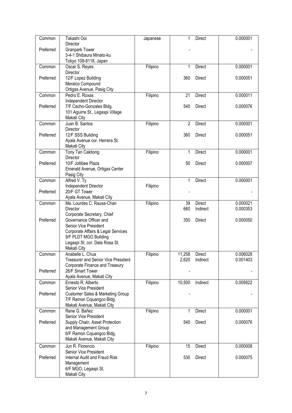| Common    | Takashi Ooi                                  | Japanese | 1              | <b>Direct</b> | 0.000001 |
|-----------|----------------------------------------------|----------|----------------|---------------|----------|
|           | Director                                     |          |                |               |          |
| Preferred | <b>Granpark Tower</b>                        |          |                |               |          |
|           | 3-4-1 Shibaura Minato-ku                     |          |                |               |          |
|           | Tokyo 108-8118, Japan                        |          |                |               |          |
| Common    | Oscar S. Reyes                               | Filipino | 1              | <b>Direct</b> | 0.000001 |
|           | Director                                     |          |                |               |          |
| Preferred | 12/F Lopez Building                          |          | 360            | <b>Direct</b> | 0.000051 |
|           | Meralco Compound                             |          |                |               |          |
|           | Ortigas Avenue, Pasig City                   |          |                |               |          |
| Common    | Pedro E. Roxas                               | Filipino | 21             | <b>Direct</b> | 0.000011 |
|           | Independent Director                         |          |                |               |          |
| Preferred | 7/F Cacho-Gonzales Bldg.                     |          | 540            | Direct        | 0.000076 |
|           | 101 Aguirre St., Legaspi Village             |          |                |               |          |
|           | Makati City                                  |          |                |               |          |
| Common    | Juan B. Santos                               | Filipino | $\overline{2}$ | <b>Direct</b> | 0.000001 |
|           | Director                                     |          |                |               |          |
| Preferred | 12/F SSS Building                            |          | 360            | <b>Direct</b> | 0.000051 |
|           |                                              |          |                |               |          |
|           | Ayala Avenue cor. Herrera St.<br>Makati City |          |                |               |          |
|           |                                              |          |                | <b>Direct</b> |          |
| Common    | <b>Tony Tan Caktiong</b>                     | Filipino | 1              |               | 0.000001 |
|           | Director                                     |          |                |               |          |
| Preferred | 10/F Jollibee Plaza                          |          | 50             | <b>Direct</b> | 0.000007 |
|           | Emerald Avenue, Ortigas Center               |          |                |               |          |
|           | Pasig City                                   |          |                |               |          |
| Common    | Alfred V. Ty                                 |          | 1              | Direct        | 0.000001 |
|           | Independent Director                         | Filipino |                |               |          |
| Preferred | 20/F GT Tower                                |          |                |               |          |
|           | Ayala Avenue, Makati City                    |          |                |               |          |
| Common    | Ma. Lourdes C. Rausa-Chan                    | Filipino | 39             | <b>Direct</b> | 0.000021 |
|           | Director                                     |          | 660            | Indirect      | 0.000353 |
|           | Corporate Secretary, Chief                   |          |                |               |          |
| Preferred | Governance Officer and                       |          | 350            | <b>Direct</b> | 0.000050 |
|           | Senior Vice President                        |          |                |               |          |
|           | Corporate Affairs & Legal Services           |          |                |               |          |
|           | 9/F PLDT MGO Building                        |          |                |               |          |
|           | Legaspi St. cor. Dela Rosa St.               |          |                |               |          |
|           | Makati City                                  |          |                |               |          |
| Common    | Anabelle L. Chua                             | Filipino | 11,258         | <b>Direct</b> | 0.006028 |
|           | <b>Treasurer and Senior Vice President</b>   |          | 2,620          | Indirect      | 0.001403 |
|           | Corporate Finance and Treasury               |          |                |               |          |
| Preferred | 26/F Smart Tower                             |          |                |               |          |
|           | Ayala Avenue, Makati City                    |          |                |               |          |
| Common    | Ernesto R. Alberto                           | Filipino | 10,500         | Indirect      | 0.005622 |
|           | Senior Vice President                        |          |                |               |          |
| Preferred | <b>Customer Sales &amp; Marketing Group</b>  |          |                |               |          |
|           | 7/F Ramon Cojuangco Bldg.                    |          |                |               |          |
|           | Makati Avenue, Makati City                   |          |                |               |          |
| Common    | Rene G. Bañez                                | Filipino | 1              | <b>Direct</b> | 0.000001 |
|           | Senior Vice President                        |          |                |               |          |
| Preferred | Supply Chain, Asset Protection               |          | 540            | <b>Direct</b> | 0.000076 |
|           | and Management Group                         |          |                |               |          |
|           | 6/F Ramon Cojuangco Bldg.                    |          |                |               |          |
|           | Makati Avenue, Makati City                   |          |                |               |          |
| Common    | Jun R. Florencio                             | Filipino | 15             | <b>Direct</b> | 0.000008 |
|           | Senior Vice President                        |          |                |               |          |
| Preferred | Internal Audit and Fraud Risk                |          | 530            | <b>Direct</b> | 0.000075 |
|           | Management                                   |          |                |               |          |
|           |                                              |          |                |               |          |
|           | 6/F MGO, Legaspi St.<br>Makati City          |          |                |               |          |
|           |                                              |          |                |               |          |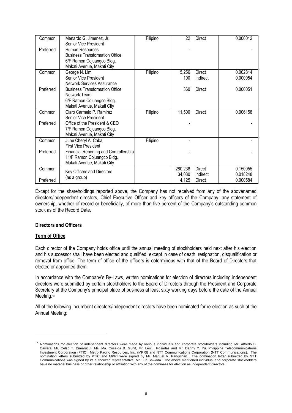| Common    | Menardo G. Jimenez, Jr.<br>Senior Vice President | Filipino | 22      | <b>Direct</b> | 0.000012 |
|-----------|--------------------------------------------------|----------|---------|---------------|----------|
| Preferred | Human Resources                                  |          |         |               |          |
|           | <b>Business Transformation Office</b>            |          |         |               |          |
|           | 6/F Ramon Cojuangco Bldg.                        |          |         |               |          |
|           | Makati Avenue, Makati City                       |          |         |               |          |
| Common    | George N. Lim                                    | Filipino | 5,256   | Direct        | 0.002814 |
|           | Senior Vice President                            |          | 100     | Indirect      | 0.000054 |
|           | <b>Network Services Assurance</b>                |          |         |               |          |
| Preferred | <b>Business Transformation Office</b>            |          | 360     | Direct        | 0.000051 |
|           | Network Team                                     |          |         |               |          |
|           | 6/F Ramon Cojuangco Bldg.                        |          |         |               |          |
|           | Makati Avenue, Makati City                       |          |         |               |          |
| Common    | Claro Carmelo P. Ramirez                         | Filipino | 11,500  | <b>Direct</b> | 0.006158 |
|           | Senior Vice President                            |          |         |               |          |
| Preferred | Office of the President & CEO                    |          |         |               |          |
|           | 7/F Ramon Cojuangco Bldg.                        |          |         |               |          |
|           | Makati Avenue, Makati City                       |          |         |               |          |
| Common    | June Cheryl A. Cabal                             | Filipino |         |               |          |
|           | <b>First Vice President</b>                      |          |         |               |          |
| Preferred | Financial Reporting and Controllership           |          |         |               |          |
|           | 11/F Ramon Cojuangco Bldg.                       |          |         |               |          |
|           | Makati Avenue, Makati City                       |          |         |               |          |
| Common    | Key Officers and Directors                       |          | 280,238 | <b>Direct</b> | 0.150055 |
|           | (as a group)                                     |          | 34,080  | Indirect      | 0.018248 |
| Preferred |                                                  |          | 4,125   | Direct        | 0.000584 |

Except for the shareholdings reported above, the Company has not received from any of the abovenamed directors/independent directors, Chief Executive Officer and key officers of the Company, any statement of ownership, whether of record or beneficially, of more than five percent of the Company's outstanding common stock as of the Record Date.

#### **Directors and Officers**

#### **Term of Office**

-

Each director of the Company holds office until the annual meeting of stockholders held next after his election and his successor shall have been elected and qualified, except in case of death, resignation, disqualification or removal from office. The term of office of the officers is coterminous with that of the Board of Directors that elected or appointed them.

In accordance with the Company's By-Laws, written nominations for election of directors including independent directors were submitted by certain stockholders to the Board of Directors through the President and Corporate Secretary at the Company's principal place of business at least sixty working days before the date of the Annual Meeting.<sup>13</sup>

All of the following incumbent directors/independent directors have been nominated for re-election as such at the Annual Meeting:

<sup>13</sup> Nominations for election of independent directors were made by various individuals and corporate stockholders including Mr. Alfredo B. Carrera, Mr. Celso T. Dimarucut, Ms. Ma. Criselda B. Guhit, Mr. Leo I. Posadas and Mr. Danny Y. Yu, Philippine Telecommunications Investment Corporation (PTIC), Metro Pacific Resources, Inc. (MPRI) and NTT Communications Corporation (NTT Communications). nomination letters submitted by PTIC and MPRI were signed by Mr. Manuel V. Pangilinan. The nomination letter submitted by NTT Communications was signed by its authorized representative, Mr. Jun Sawada. The above mentioned individual and corporate stockholders have no material business or other relationship or affiliation with any of the nominees for election as independent directors.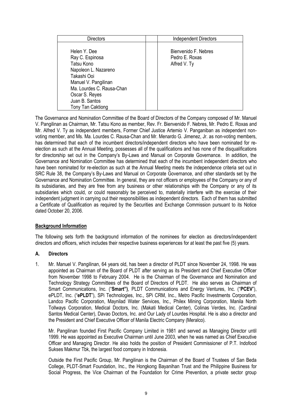| <b>Directors</b>                                                                                                                                                                                   | <b>Independent Directors</b>                           |
|----------------------------------------------------------------------------------------------------------------------------------------------------------------------------------------------------|--------------------------------------------------------|
| Helen Y. Dee<br>Ray C. Espinosa<br>Tatsu Kono<br>Napoleon L. Nazareno<br>Takashi Ooi<br>Manuel V. Pangilinan<br>Ma. Lourdes C. Rausa-Chan<br>Oscar S. Reyes<br>Juan B. Santos<br>Tony Tan Caktiong | Bienvenido F. Nebres<br>Pedro E. Roxas<br>Alfred V. Ty |

The Governance and Nomination Committee of the Board of Directors of the Company composed of Mr. Manuel V. Pangilinan as Chairman, Mr. Tatsu Kono as member, Rev. Fr. Bienvenido F. Nebres, Mr. Pedro E. Roxas and Mr. Alfred V. Ty as independent members, Former Chief Justice Artemio V. Panganiban as independent nonvoting member, and Ms. Ma. Lourdes C. Rausa-Chan and Mr. Menardo G. Jimenez, Jr. as non-voting members, has determined that each of the incumbent directors/independent directors who have been nominated for reelection as such at the Annual Meeting, possesses all of the qualifications and has none of the disqualifications for directorship set out in the Company's By-Laws and Manual on Corporate Governance. In addition, the Governance and Nomination Committee has determined that each of the incumbent independent directors who have been nominated for re-election as such at the Annual Meeting meets the independence criteria set out in SRC Rule 38, the Company's By-Laws and Manual on Corporate Governance, and other standards set by the Governance and Nomination Committee. In general, they are not officers or employees of the Company or any of its subsidiaries, and they are free from any business or other relationships with the Company or any of its subsidiaries which could, or could reasonably be perceived to, materially interfere with the exercise of their independent judgment in carrying out their responsibilities as independent directors. Each of them has submitted a Certificate of Qualification as required by the Securities and Exchange Commission pursuant to its Notice dated October 20, 2006.

#### **Background Information**

The following sets forth the background information of the nominees for election as directors/independent directors and officers, which includes their respective business experiences for at least the past five (5) years.

#### **A. Directors**

1. Mr. Manuel V. Pangilinan, 64 years old, has been a director of PLDT since November 24, 1998. He was appointed as Chairman of the Board of PLDT after serving as its President and Chief Executive Officer from November 1998 to February 2004. He is the Chairman of the Governance and Nomination and Technology Strategy Committees of the Board of Directors of PLDT. He also serves as Chairman of Smart Communications, Inc. ("**Smart")**, PLDT Communications and Energy Ventures, Inc. ("**PCEV**"), ePLDT, Inc. ("**ePLDT**"), SPi Technologies, Inc., SPi CRM, Inc., Metro Pacific Investments Corporation, Landco Pacific Corporation, Maynilad Water Services, Inc., Philex Mining Corporation, Manila North Tollways Corporation, Medical Doctors, Inc. (Makati Medical Center), Colinas Verdes, Inc. (Cardinal Santos Medical Center), Davao Doctors, Inc. and Our Lady of Lourdes Hospital. He is also a director and the President and Chief Executive Officer of Manila Electric Company (Meralco).

Mr. Pangilinan founded First Pacific Company Limited in 1981 and served as Managing Director until 1999. He was appointed as Executive Chairman until June 2003, when he was named as Chief Executive Officer and Managing Director. He also holds the position of President Commissioner of P.T. Indofood Sukses Makmur Tbk, the largest food company in Indonesia.

Outside the First Pacific Group, Mr. Pangilinan is the Chairman of the Board of Trustees of San Beda College, PLDT-Smart Foundation, Inc., the Hongkong Bayanihan Trust and the Philippine Business for Social Progress, the Vice Chairman of the Foundation for Crime Prevention, a private sector group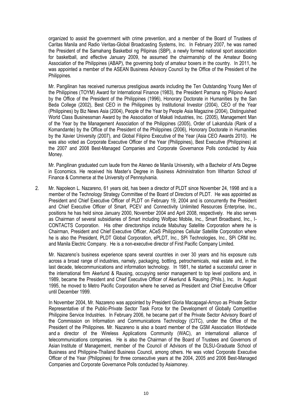organized to assist the government with crime prevention, and a member of the Board of Trustees of Caritas Manila and Radio Veritas-Global Broadcasting Systems, Inc. In February 2007, he was named the President of the Samahang Basketbol ng Pilipinas (SBP), a newly formed national sport association for basketball, and effective January 2009, he assumed the chairmanship of the Amateur Boxing Association of the Philippines (ABAP), the governing body of amateur boxers in the country. In 2011, he was appointed a member of the ASEAN Business Advisory Council by the Office of the President of the Philippines.

Mr. Pangilinan has received numerous prestigious awards including the Ten Outstanding Young Men of the Philippines (TOYM) Award for International Finance (1983), the President Pamana ng Pilipino Award by the Office of the President of the Philippines (1996), Honorary Doctorate in Humanities by the San Beda College (2002), Best CEO in the Philippines by Institutional Investor (2004), CEO of the Year (Philippines) by Biz News Asia (2004), People of the Year by People Asia Magazine (2004), Distinguished World Class Businessman Award by the Association of Makati Industries, Inc. (2005), Management Man of the Year by the Management Association of the Philippines (2005), Order of Lakandula (Rank of a Komandante) by the Office of the President of the Philippines (2006), Honorary Doctorate in Humanities by the Xavier University (2007), and Global Filipino Executive of the Year (Asia CEO Awards 2010). He was also voted as Corporate Executive Officer of the Year (Philippines), Best Executive (Philippines) at the 2007 and 2008 Best-Managed Companies and Corporate Governance Polls conducted by Asia Money.

Mr. Pangilinan graduated cum laude from the Ateneo de Manila University, with a Bachelor of Arts Degree in Economics. He received his Master's Degree in Business Administration from Wharton School of Finance & Commerce at the University of Pennsylvania.

2. Mr. Napoleon L. Nazareno, 61 years old, has been a director of PLDT since November 24, 1998 and is a member of the Technology Strategy Committee of the Board of Directors of PLDT. He was appointed as President and Chief Executive Officer of PLDT on February 19, 2004 and is concurrently the President and Chief Executive Officer of Smart, PCEV and Connectivity Unlimited Resources Enterprise, Inc., positions he has held since January 2000, November 2004 and April 2008, respectively. He also serves as Chairman of several subsidiaries of Smart including Wolfpac Mobile, Inc., Smart Broadband, Inc., I-CONTACTS Corporation. His other directorships include Mabuhay Satellite Corporation where he is Chairman, President and Chief Executive Officer, ACeS Philippines Cellular Satellite Corporation where he is also the President, PLDT Global Corporation, ePLDT, Inc., SPi Technologies, Inc., SPi CRM Inc. and Manila Electric Company. He is a non-executive director of First Pacific Company Limited.

Mr. Nazareno's business experience spans several countries in over 30 years and his exposure cuts across a broad range of industries, namely, packaging, bottling, petrochemicals, real estate and, in the last decade, telecommunications and information technology. In 1981, he started a successful career in the international firm Akerlund & Rausing, occupying senior management to top level positions and, in 1989, became the President and Chief Executive Officer of Akerlund & Rausing (Phils.), Inc. In August 1995, he moved to Metro Pacific Corporation where he served as President and Chief Executive Officer until December 1999.

In November 2004, Mr. Nazareno was appointed by President Gloria Macapagal-Arroyo as Private Sector Representative of the Public-Private Sector Task Force for the Development of Globally Competitive Philippine Service Industries. In February 2006, he became part of the Private Sector Advisory Board of the Commission on Information and Communications Technology (CITC), under the Office of the President of the Philippines. Mr. Nazareno is also a board member of the GSM Association Worldwide and a director of the Wireless Applications Community (WAC), an international alliance of telecommunications companies. He is also the Chairman of the Board of Trustees and Governors of Asian Institute of Management, member of the Council of Advisors of the DLSU-Graduate School of Business and Philippine-Thailand Business Council, among others. He was voted Corporate Executive Officer of the Year (Philippines) for three consecutive years at the 2004, 2005 and 2006 Best-Managed Companies and Corporate Governance Polls conducted by Asiamoney.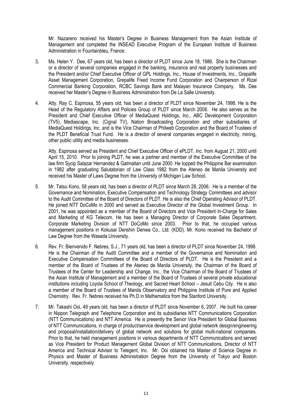Mr. Nazareno received his Master's Degree in Business Management from the Asian Institute of Management and completed the INSEAD Executive Program of the European Institute of Business Administration in Fountainbleu, France.

- 3. Ms. Helen Y. Dee, 67 years old, has been a director of PLDT since June 18, 1986. She is the Chairman or a director of several companies engaged in the banking, insurance and real property businesses and the President and/or Chief Executive Officer of GPL Holdings, Inc., House of Investments, Inc., Grepalife Asset Management Corporation, Grepalife Fixed Income Fund Corporation and Chairperson of Rizal Commercial Banking Corporation, RCBC Savings Bank and Malayan Insurance Company. Ms. Dee received her Master's Degree in Business Administration from De La Salle University.
- 4. Atty. Ray C. Espinosa, 55 years old, has been a director of PLDT since November 24, 1998. He is the Head of the Regulatory Affairs and Policies Group of PLDT since March 2008. He also serves as the President and Chief Executive Officer of MediaQuest Holdings, Inc., ABC Development Corporation (TV5), Mediascape, Inc. (Cignal TV), Nation Broadcasting Corporation and other subsidiaries of MediaQuest Holdings, Inc. and is the Vice Chairman of Philweb Corporation and the Board of Trustees of the PLDT Beneficial Trust Fund. He is a director of several companies engaged in electricity, mining, other public utility and media businesses.

Atty. Espinosa served as President and Chief Executive Officer of ePLDT, Inc. from August 21, 2000 until April 15, 2010. Prior to joining PLDT, he was a partner and member of the Executive Committee of the law firm Sycip Salazar Hernandez & Gatmaitan until June 2000. He topped the Philippine Bar examination in 1982 after graduating Salutatorian of Law Class 1982 from the Ateneo de Manila University and received his Master of Laws Degree from the University of Michigan Law School.

- 5. Mr. Tatsu Kono, 58 years old, has been a director of PLDT since March 28, 2006. He is a member of the Governance and Nomination, Executive Compensation and Technology Strategy Committees and advisor to the Audit Committee of the Board of Directors of PLDT. He is also the Chief Operating Advisor of PLDT. He joined NTT DoCoMo in 2000 and served as Executive Director of the Global Investment Group. In 2001, he was appointed as a member of the Board of Directors and Vice President In-Charge for Sales and Marketing of KG Telecom. He has been a Managing Director of Corporate Sales Department, Corporate Marketing Division of NTT DoCoMo since 2003. Prior to that, he occupied various management positions in Kokusai Denshin Denwa Co., Ltd. (KDD). Mr. Kono received his Bachelor of Law Degree from the Waseda University.
- 6. Rev. Fr. Bienvenido F. Nebres, S.J., 71 years old, has been a director of PLDT since November 24, 1998. He is the Chairman of the Audit Committee and a member of the Governance and Nomination and Executive Compensation Committees of the Board of Directors of PLDT. He is the President and a member of the Board of Trustees of the Ateneo de Manila University, the Chairman of the Board of Trustees of the Center for Leadership and Change, Inc., the Vice Chairman of the Board of Trustees of the Asian Institute of Management and a member of the Board of Trustees of several private educational institutions including Loyola School of Theology, and Sacred Heart School – Jesuit Cebu City. He is also a member of the Board of Trustees of Manila Observatory and Philippine Institute of Pure and Applied Chemistry. Rev. Fr. Nebres received his Ph.D in Mathematics from the Stanford University.
- 7. Mr. Takashi Ooi, 49 years old, has been a director of PLDT since November 6, 2007. He built his career in Nippon Telegraph and Telephone Corporation and its subsidiaries NTT Communications Corporation (NTT Communications) and NTT America. He is presently the Senior Vice President for Global Business of NTT Communications, in charge of product/service development and global network design/engineering and proposal/installation/delivery of global network and solutions for global multi-national companies. Prior to that, he held management positions in various departments of NTT Communications and served as Vice President for Product Management Global Division of NTT Communications, Director of NTT America and Technical Advisor to Telegent, Inc. Mr. Ooi obtained his Master of Science Degree in Physics and Master of Business Administration Degree from the University of Tokyo and Boston University, respectively.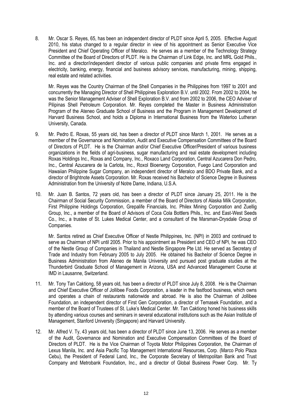8. Mr. Oscar S. Reyes, 65, has been an independent director of PLDT since April 5, 2005. Effective August 2010, his status changed to a regular director in view of his appointment as Senior Executive Vice President and Chief Operating Officer of Meralco. He serves as a member of the Technology Strategy Committee of the Board of Directors of PLDT. He is the Chairman of Link Edge, Inc. and MRL Gold Phils., Inc. and a director/independent director of various public companies and private firms engaged in electricity, banking, energy, financial and business advisory services, manufacturing, mining, shipping, real estate and related activities.

Mr. Reyes was the Country Chairman of the Shell Companies in the Philippines from 1997 to 2001 and concurrently the Managing Director of Shell Philippines Exploration B.V. until 2002. From 2002 to 2004, he was the Senior Management Adviser of Shell Exploration B.V. and from 2002 to 2006, the CEO Adviser of Pilipinas Shell Petroleum Corporation. Mr. Reyes completed the Master in Business Administration Program of the Ateneo Graduate School of Business and the Program in Management Development of Harvard Business School, and holds a Diploma in International Business from the Waterloo Lutheran University, Canada.

- 9. Mr. Pedro E. Roxas, 55 years old, has been a director of PLDT since March 1, 2001. He serves as a member of the Governance and Nomination, Audit and Executive Compensation Committees of the Board of Directors of PLDT. He is the Chairman and/or Chief Executive Officer/President of various business organizations in the fields of agri-business, sugar manufacturing and real estate development including Roxas Holdings Inc., Roxas and Company, Inc., Roxaco Land Corporation, Central Azucarera Don Pedro, Inc., Central Azucarera de la Carlota, Inc., Roxol Bioenergy Corporation, Fuego Land Corporation and Hawaiian Philippine Sugar Company, an independent director of Meralco and BDO Private Bank, and a director of Brightnote Assets Corporation. Mr. Roxas received his Bachelor of Science Degree in Business Administration from the University of Notre Dame, Indiana, U.S.A.
- 10. Mr. Juan B. Santos, 72 years old, has been a director of PLDT since January 25, 2011. He is the Chairman of Social Security Commission, a member of the Board of Directors of Alaska Milk Corporation, First Philippine Holdings Corporation, Grepalife Financials, Inc. Philex Mining Corporation and Zuellig Group, Inc., a member of the Board of Advisors of Coca Cola Bottlers Phils., Inc. and East-West Seeds Co., Inc., a trustee of St. Lukes Medical Center, and a consultant of the Marsman-Drysdale Group of Companies.

Mr. Santos retired as Chief Executive Officer of Nestle Philippines, Inc. (NPI) in 2003 and continued to serve as Chairman of NPI until 2005. Prior to his appointment as President and CEO of NPI, he was CEO of the Nestle Group of Companies in Thailand and Nestle Singapore Pte Ltd. He served as Secretary of Trade and Industry from February 2005 to July 2005. He obtained his Bachelor of Science Degree in Business Administration from Ateneo de Manila University and pursued post graduate studies at the Thunderbird Graduate School of Management in Arizona, USA and Advanced Management Course at IMD in Lausanne, Switzerland.

- 11. Mr. Tony Tan Caktiong, 58 years old, has been a director of PLDT since July 8, 2008. He is the Chairman and Chief Executive Officer of Jollibee Foods Corporation, a leader in the fastfood business, which owns and operates a chain of restaurants nationwide and abroad. He is also the Chairman of Jollibee Foundation, an independent director of First Gen Corporation, a director of Temasek Foundation, and a member of the Board of Trustees of St. Luke's Medical Center. Mr. Tan Caktiong honed his business skills by attending various courses and seminars in several educational institutions such as the Asian Institute of Management, Stanford University (Singapore) and Harvard University.
- 12. Mr. Alfred V. Ty, 43 years old, has been a director of PLDT since June 13, 2006. He serves as a member of the Audit, Governance and Nomination and Executive Compensation Committees of the Board of Directors of PLDT. He is the Vice Chairman of Toyota Motor Philippines Corporation, the Chairman of Lexus Manila, Inc. and Asia Pacific Top Management International Resources, Corp. (Marco Polo Plaza Cebu), the President of Federal Land, Inc., the Corporate Secretary of Metropolitan Bank and Trust Company and Metrobank Foundation, Inc., and a director of Global Business Power Corp. Mr. Ty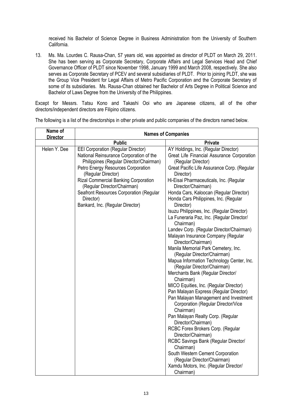received his Bachelor of Science Degree in Business Administration from the University of Southern California.

13. Ms. Ma. Lourdes C. Rausa-Chan, 57 years old, was appointed as director of PLDT on March 29, 2011. She has been serving as Corporate Secretary, Corporate Affairs and Legal Services Head and Chief Governance Officer of PLDT since November 1998, January 1999 and March 2008, respectively. She also serves as Corporate Secretary of PCEV and several subsidiaries of PLDT. Prior to joining PLDT, she was the Group Vice President for Legal Affairs of Metro Pacific Corporation and the Corporate Secretary of some of its subsidiaries. Ms. Rausa-Chan obtained her Bachelor of Arts Degree in Political Science and Bachelor of Laws Degree from the University of the Philippines.

Except for Messrs. Tatsu Kono and Takashi Ooi who are Japanese citizens, all of the other directors/independent directors are Filipino citizens.

| Name of<br><b>Director</b> | <b>Names of Companies</b>                                                                                                                                                                                                                                                                                                                                             |                                                                                                                                                                                                                                                                                                                                                                                                                                                                                                                                                                                                                                                                                                                                                                                                                                                                                                                                                                                                                                                                                                                                                                                                                                   |  |  |  |  |  |
|----------------------------|-----------------------------------------------------------------------------------------------------------------------------------------------------------------------------------------------------------------------------------------------------------------------------------------------------------------------------------------------------------------------|-----------------------------------------------------------------------------------------------------------------------------------------------------------------------------------------------------------------------------------------------------------------------------------------------------------------------------------------------------------------------------------------------------------------------------------------------------------------------------------------------------------------------------------------------------------------------------------------------------------------------------------------------------------------------------------------------------------------------------------------------------------------------------------------------------------------------------------------------------------------------------------------------------------------------------------------------------------------------------------------------------------------------------------------------------------------------------------------------------------------------------------------------------------------------------------------------------------------------------------|--|--|--|--|--|
|                            | <b>Public</b>                                                                                                                                                                                                                                                                                                                                                         | <b>Private</b>                                                                                                                                                                                                                                                                                                                                                                                                                                                                                                                                                                                                                                                                                                                                                                                                                                                                                                                                                                                                                                                                                                                                                                                                                    |  |  |  |  |  |
| Helen Y. Dee               | <b>EEI Corporation (Regular Director)</b><br>National Reinsurance Corporation of the<br>Philippines (Regular Director/Chairman)<br>Petro Energy Resources Corporation<br>(Regular Director)<br><b>Rizal Commercial Banking Corporation</b><br>(Regular Director/Chairman)<br>Seafront Resources Corporation (Regular<br>Director)<br>Bankard, Inc. (Regular Director) | AY Holdings, Inc. (Regular Director)<br>Great Life Financial Assurance Corporation<br>(Regular Director)<br>Great Pacific Life Assurance Corp. (Regular<br>Director)<br>Hi-Eisai Pharmaceuticals, Inc. (Regular<br>Director/Chairman)<br>Honda Cars, Kaloocan (Regular Director)<br>Honda Cars Philippines, Inc. (Regular<br>Director)<br>Isuzu Philippines, Inc. (Regular Director)<br>La Funeraria Paz, Inc. (Regular Director/<br>Chairman)<br>Landev Corp. (Regular Director/Chairman)<br>Malayan Insurance Company (Regular<br>Director/Chairman)<br>Manila Memorial Park Cemetery, Inc.<br>(Regular Director/Chairman)<br>Mapua Information Technology Center, Inc.<br>(Regular Director/Chairman)<br>Merchants Bank (Regular Director/<br>Chairman)<br>MICO Equities, Inc. (Regular Director)<br>Pan Malayan Express (Regular Director)<br>Pan Malayan Management and Investment<br>Corporation (Regular Director/Vice<br>Chairman)<br>Pan Malayan Realty Corp. (Regular<br>Director/Chairman)<br>RCBC Forex Brokers Corp. (Regular<br>Director/Chairman)<br>RCBC Savings Bank (Regular Director/<br>Chairman)<br>South Western Cement Corporation<br>(Regular Director/Chairman)<br>Xamdu Motors, Inc. (Regular Director/ |  |  |  |  |  |
|                            |                                                                                                                                                                                                                                                                                                                                                                       | Chairman)                                                                                                                                                                                                                                                                                                                                                                                                                                                                                                                                                                                                                                                                                                                                                                                                                                                                                                                                                                                                                                                                                                                                                                                                                         |  |  |  |  |  |

The following is a list of the directorships in other private and public companies of the directors named below.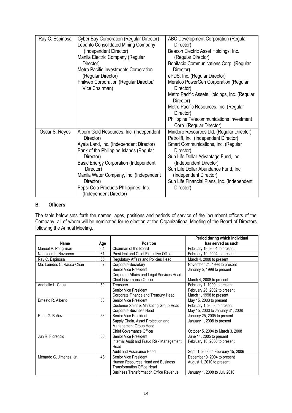| Ray C. Espinosa | Cyber Bay Corporation (Regular Director)<br>Lepanto Consolidated Mining Company<br>(Independent Director)<br>Manila Electric Company (Regular<br>Director)<br>Metro Pacific Investments Corporation<br>(Regular Director)<br>Philweb Corporation (Regular Director/<br>Vice Chairman)                                                            | ABC Development Corporation (Regular<br>Director)<br>Beacon Electric Asset Holdings, Inc.<br>(Regular Director)<br>Bonifacio Communications Corp. (Regular<br>Director)<br>ePDS, Inc. (Regular Director)<br>Meralco PowerGen Corporation (Regular<br>Director)<br>Metro Pacific Assets Holdings, Inc. (Regular<br>Director)<br>Metro Pacific Resources, Inc. (Regular<br>Director)<br><b>Philippine Telecommunications Investment</b><br>Corp. (Regular Director) |
|-----------------|--------------------------------------------------------------------------------------------------------------------------------------------------------------------------------------------------------------------------------------------------------------------------------------------------------------------------------------------------|-------------------------------------------------------------------------------------------------------------------------------------------------------------------------------------------------------------------------------------------------------------------------------------------------------------------------------------------------------------------------------------------------------------------------------------------------------------------|
| Oscar S. Reyes  | Alcorn Gold Resources, Inc. (Independent<br>Director)<br>Ayala Land, Inc. (Independent Director)<br>Bank of the Philippine Islands (Regular<br>Director)<br><b>Basic Energy Corporation (Independent</b><br>Director)<br>Manila Water Company, Inc. (Independent<br>Director)<br>Pepsi Cola Products Philippines, Inc.<br>(Independent Director) | Mindoro Resources Ltd. (Regular Director)<br>Petrolift, Inc. (Independent Director)<br>Smart Communications, Inc. (Regular<br>Director)<br>Sun Life Dollar Advantage Fund, Inc.<br>(Independent Director)<br>Sun Life Dollar Abundance Fund, Inc.<br>(Independent Director)<br>Sun Life Financial Plans, Inc. (Independent<br>Director)                                                                                                                           |

#### **B. Officers**

The table below sets forth the names, ages, positions and periods of service of the incumbent officers of the Company, all of whom will be nominated for re-election at the Organizational Meeting of the Board of Directors following the Annual Meeting.

|                           |     |                                               | Period during which individual     |
|---------------------------|-----|-----------------------------------------------|------------------------------------|
| Name                      | Age | <b>Position</b>                               | has served as such                 |
| Manuel V. Pangilinan      | 64  | Chairman of the Board                         | February 19, 2004 to present       |
| Napoleon L. Nazareno      | 61  | President and Chief Executive Officer         | February 19, 2004 to present       |
| Ray C. Espinosa           | 55  | Regulatory Affairs and Policies Head          | March 4, 2008 to present           |
| Ma. Lourdes C. Rausa-Chan | 57  | Corporate Secretary                           | November 24, 1998 to present       |
|                           |     | Senior Vice President                         | January 5, 1999 to present         |
|                           |     | Corporate Affairs and Legal Services Head     |                                    |
|                           |     | <b>Chief Governance Officer</b>               | March 4, 2008 to present           |
| Anabelle L. Chua          | 50  | Treasurer                                     | February 1, 1999 to present        |
|                           |     | Senior Vice President                         | February 26, 2002 to present       |
|                           |     | Corporate Finance and Treasury Head           | March 1, 1998 to present           |
| Ernesto R. Alberto        | 50  | Senior Vice President                         | May 15, 2003 to present            |
|                           |     | Customer Sales & Marketing Group Head         | February 1, 2008 to present        |
|                           |     | Corporate Business Head                       | May 15, 2003 to January 31, 2008   |
| Rene G. Bañez             | 56  | Senior Vice President                         | January 25, 2005 to present        |
|                           |     | Supply Chain, Asset Protection and            | January 1, 2008 to present         |
|                           |     | Management Group Head                         |                                    |
|                           |     | <b>Chief Governance Officer</b>               | October 5, 2004 to March 3, 2008   |
| Jun R. Florencio          | 55  | Senior Vice President                         | June 14, 2005 to present           |
|                           |     | Internal Audit and Fraud Risk Management      | February 16, 2006 to present       |
|                           |     | Head                                          |                                    |
|                           |     | Audit and Assurance Head                      | Sept. 1, 2000 to February 15, 2006 |
| Menardo G. Jimenez, Jr.   | 48  | Senior Vice President                         | December 9, 2004 to present        |
|                           |     | Human Resources Head and Business             | August 1, 2010 to present          |
|                           |     | <b>Transformation Office Head</b>             |                                    |
|                           |     | <b>Business Transformation Office Revenue</b> | January 1, 2008 to July 2010       |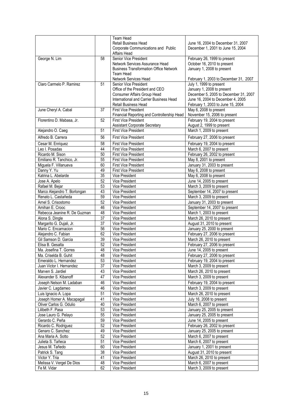|                              |                 | Team Head                                                                  |                                                        |
|------------------------------|-----------------|----------------------------------------------------------------------------|--------------------------------------------------------|
|                              |                 | <b>Retail Business Head</b>                                                | June 16, 2004 to December 31, 2007                     |
|                              |                 | Corporate Communications and Public                                        | December 1, 2001 to June 15, 2004                      |
|                              |                 | Affairs Head                                                               |                                                        |
| George N. Lim                | 58              | Senior Vice President                                                      | February 26, 1999 to present                           |
|                              |                 | Network Services Assurance Head                                            | October 16, 2010 to present                            |
|                              |                 | <b>Business Transformation Office Network</b>                              | January 1, 2008 to present                             |
|                              |                 | Team Head                                                                  |                                                        |
|                              |                 | Network Services Head                                                      | February 1, 2003 to December 31, 2007                  |
| Claro Carmelo P. Ramirez     | 51              | Senior Vice President                                                      | July 1, 1999 to present                                |
|                              |                 | Office of the President and CEO                                            | January 1, 2008 to present                             |
|                              |                 | Consumer Affairs Group Head                                                | December 5, 2005 to December 31, 2007                  |
|                              |                 | International and Carrier Business Head                                    | June 16, 2004 to December 4, 2005                      |
|                              |                 | <b>Retail Business Head</b>                                                | February 1, 2003 to June 15, 2004                      |
| June Cheryl A. Cabal         | 37              | <b>First Vice President</b>                                                | May 6, 2008 to present<br>November 15, 2006 to present |
| Florentino D. Mabasa, Jr.    | 52              | Financial Reporting and Controllership Head<br><b>First Vice President</b> | February 19, 2004 to present                           |
|                              |                 | <b>Assistant Corporate Secretary</b>                                       | August 2, 1999 to present                              |
| Alejandro O. Caeg            | 51              | <b>First Vice President</b>                                                | March 1, 2009 to present                               |
|                              |                 |                                                                            |                                                        |
| Alfredo B. Carrera           | 56              | <b>First Vice President</b>                                                | February 27, 2006 to present                           |
| Cesar M. Enriquez            | 58              | <b>First Vice President</b>                                                | February 19, 2004 to present                           |
| Leo I. Posadas               | 44              | <b>First Vice President</b>                                                | March 6, 2007 to present                               |
| Ricardo M. Sison             | 50              | <b>First Vice President</b>                                                | February 26, 2002 to present                           |
| Emiliano R. Tanchico, Jr.    | 55              | <b>First Vice President</b>                                                | May 8, 2001 to present                                 |
| Miguela F. Villanueva        | 60              | <b>First Vice President</b>                                                | January 31, 2003 to present                            |
| Danny Y. Yu                  | 49              | <b>First Vice President</b>                                                | May 6, 2008 to present                                 |
| Katrina L. Abelarde          | 35              | Vice President                                                             | May 6, 2008 to present                                 |
| Jose A. Apelo                | 52              | Vice President                                                             | June 14, 2005 to present                               |
| Rafael M. Bejar              | 53              | Vice President                                                             | March 3, 2009 to present                               |
| Marco Alejandro T. Borlongan | 43              | Vice President                                                             | September 14, 2007 to present                          |
| Renato L. Castañeda          | 59              | Vice President                                                             | March 3, 2009 to present                               |
| Arnel S. Crisostomo          | 52              | <b>Vice President</b>                                                      | January 31, 2003 to present                            |
| Amihan E. Crooc              | 46              | Vice President                                                             | September 14, 2007 to present                          |
| Rebecca Jeanine R. De Guzman | 48              | Vice President                                                             | March 1, 2003 to present                               |
| Alona S. Dingle              | 37              | Vice President                                                             | March 26, 2010 to present                              |
| Margarito G. Dujali, Jr.     | $\overline{37}$ | Vice President                                                             | August 31, 2010 to present                             |
| Mario C. Encarnacion         | 56              | Vice President                                                             | January 25, 2000 to present                            |
| Alejandro C. Fabian          | 62              | Vice President                                                             | February 27, 2006 to present                           |
| Gil Samson D. Garcia         | 39              | Vice President                                                             | March 26, 2010 to present                              |
| Elisa B. Gesalta             | 52              | Vice President                                                             | February 27, 2006 to present                           |
| Ma. Josefina T. Gorres       | 48              | <b>Vice President</b>                                                      | June 14, 2005 to present                               |
| Ma. Criselda B. Guhit        | 48              | Vice President                                                             | February 27, 2006 to present                           |
| Emeraldo L. Hernandez        | 53              | Vice President                                                             | February 19, 2004 to present                           |
| Juan Victor I. Hernandez     | 37              | Vice President                                                             | March 3, 2009 to present                               |
| Marven S. Jardiel            | 43              | Vice President                                                             | March 26, 2010 to present                              |
| Alexander S. Kibanoff        | 47              | Vice President                                                             | March 3, 2009 to present                               |
| Joseph Nelson M. Ladaban     | 46              | Vice President                                                             | February 19, 2004 to present                           |
| Javier C. Lagdameo           | 46              | Vice President                                                             | March 3, 2009 to present                               |
| Luis Ignacio A. Lopa         | 51              | Vice President                                                             | March 26, 2010 to present                              |
| Joseph Homer A. Macapagal    | 41              | Vice President                                                             | July 16, 2008 to present                               |
| Oliver Carlos G. Odulio      | 40              | Vice President                                                             | March 6, 2007 to present                               |
| Lilibeth F. Pasa             | 53              | Vice President                                                             | January 25, 2005 to present                            |
| Jose Lauro G. Pelayo         | 55              | Vice President                                                             | January 25, 2005 to present                            |
| Gerardo C. Peña              | 59              | Vice President                                                             | June 14, 2005 to present                               |
| Ricardo C. Rodriguez         | 52              | Vice President                                                             | February 26, 2002 to present                           |
| Genaro C. Sanchez            | 49              | Vice President                                                             | January 25, 2005 to present                            |
| Ana Maria A. Sotto           | 52              | Vice President                                                             | March 6, 2007 to present                               |
| Julieta S. Tañeca            | 51              | Vice President                                                             | March 6, 2007 to present                               |
| Jesus M. Tañedo              | 60              | Vice President                                                             | January 1, 2001 to present                             |
| Patrick S. Tang              | 38              | Vice President                                                             | August 31, 2010 to present                             |
| Victor Y. Tria               |                 | Vice President                                                             | March 26, 2010 to present                              |
|                              | 41<br>48        |                                                                            |                                                        |
| Melissa V. Vergel De Dios    |                 | Vice President                                                             | March 6, 2007 to present                               |
| Fe M. Vidar                  | 62              | Vice President                                                             | March 3, 2009 to present                               |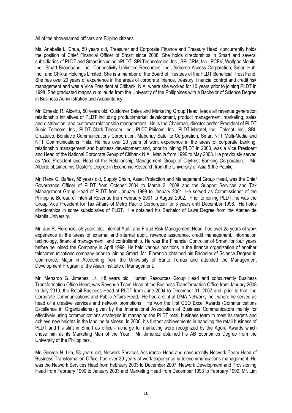All of the abovenamed officers are Filipino citizens.

Ms. Anabelle L. Chua, 50 years old, Treasurer and Corporate Finance and Treasury Head, concurrently holds the position of Chief Financial Officer of Smart since 2006. She holds directorships in Smart and several subsidiaries of PLDT and Smart including ePLDT, SPi Technologies, Inc., SPi CRM, Inc., PCEV, Wolfpac Mobile, Inc., Smart Broadband, Inc., Connectivity Unlimited Resources, Inc., Airborne Access Corporation, Smart Hub, Inc., and Chikka Holdings Limited. She is a member of the Board of Trustees of the PLDT Beneficial Trust Fund. She has over 20 years of experience in the areas of corporate finance, treasury, financial control and credit risk management and was a Vice President at Citibank, N.A. where she worked for 10 years prior to joining PLDT in 1998. She graduated magna cum laude from the University of the Philippines with a Bachelor of Science Degree in Business Administration and Accountancy.

Mr. Ernesto R. Alberto, 50 years old, Customer Sales and Marketing Group Head, leads all revenue generation relationship initiatives of PLDT including product/market development, product management, marketing, sales and distribution, and customer relationship management. He is the Chairman, director and/or President of PLDT Subic Telecom, Inc., PLDT Clark Telecom, Inc., PLDT-Philcom, Inc., PLDT-Maratel, Inc., Telesat, Inc., SBI-Cruztelco, Bonifacio Communications Corporation, Mabuhay Satellite Corporation, Smart NTT Multi-Media and NTT Communications Phils. He has over 20 years of work experience in the areas of corporate banking, relationship management and business development and, prior to joining PLDT in 2003, was a Vice President and Head of the National Corporate Group of Citibank N.A., Manila from 1996 to May 2003. He previously served as Vice President and Head of the Relationship Management Group of Citytrust Banking Corporation. Mr. Alberto obtained his Master's Degree in Economic Research from the University of Asia & the Pacific**.**

Mr. Rene G. Bañez, 56 years old, Supply Chain, Asset Protection and Management Group Head, was the Chief Governance Officer of PLDT from October 2004 to March 3, 2008 and the Support Services and Tax Management Group Head of PLDT from January 1999 to January 2001. He served as Commissioner of the Philippine Bureau of Internal Revenue from February 2001 to August 2002. Prior to joining PLDT, he was the Group Vice President for Tax Affairs of Metro Pacific Corporation for 3 years until December 1998. He holds directorships in some subsidiaries of PLDT. He obtained his Bachelor of Laws Degree from the Ateneo de Manila University.

Mr. Jun R. Florencio, 55 years old, Internal Audit and Fraud Risk Management Head, has over 25 years of work experience in the areas of external and internal audit, revenue assurance, credit management, information technology, financial management, and controllership. He was the Financial Controller of Smart for four years before he joined the Company in April 1999. He held various positions in the finance organization of another telecommunications company prior to joining Smart. Mr. Florencio obtained his Bachelor of Science Degree in Commerce, Major in Accounting from the University of Santo Tomas and attended the Management Development Program of the Asian Institute of Management.

Mr. Menardo G. Jimenez, Jr., 48 years old, Human Resources Group Head and concurrently Business Transformation Office Head, was Revenue Team Head of the Business Transformation Office from January 2008 to July 2010, the Retail Business Head of PLDT from June 2004 to December 31, 2007 and, prior to that, the Corporate Communications and Public Affairs Head. He had a stint at GMA Network, Inc., where he served as head of a creative services and network promotions. He won the first CEO Excel Awards (Communications Excellence in Organizations) given by the International Association of Business Communicators mainly for effectively using communications strategies in managing the PLDT retail business team to meet its targets and achieve new heights in the landline business. In 2006, his further achievements in handling the retail business of PLDT and his stint in Smart as officer-in-charge for marketing were recognized by the Agora Awards which chose him as its Marketing Man of the Year. Mr. Jimenez obtained his AB Economics Degree from the University of the Philippines.

Mr. George N. Lim, 58 years old, Network Services Assurance Head and concurrently Network Team Head of Business Transformation Office, has over 30 years of work experience in telecommunications management. He was the Network Services Head from February 2003 to December 2007, Network Development and Provisioning Head from February 1999 to January 2003 and Marketing Head from December 1993 to February 1999. Mr. Lim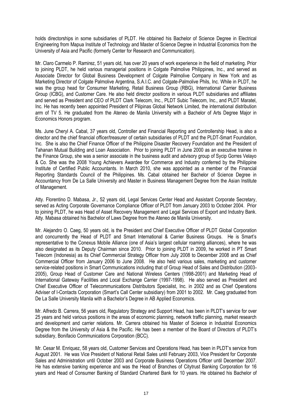holds directorships in some subsidiaries of PLDT. He obtained his Bachelor of Science Degree in Electrical Engineering from Mapua Institute of Technology and Master of Science Degree in Industrial Economics from the University of Asia and Pacific (formerly Center for Research and Communication).

Mr. Claro Carmelo P. Ramirez, 51 years old, has over 20 years of work experience in the field of marketing. Prior to joining PLDT, he held various managerial positions in Colgate Palmolive Philippines, Inc., and served as Associate Director for Global Business Development of Colgate Palmolive Company in New York and as Marketing Director of Colgate Palmolive Argentina, S.A.I.C. and Colgate-Palmolive Phils, Inc. While in PLDT, he was the group head for Consumer Marketing, Retail Business Group (RBG), International Carrier Business Group (ICBG), and Customer Care. He also held director positions in various PLDT subsidiaries and affiliates and served as President and CEO of PLDT Clark Telecom, Inc., PLDT Subic Telecom, Inc., and PLDT Maratel, Inc. He has recently been appointed President of Pilipinas Global Network Limited, the international distribution arm of TV 5. He graduated from the Ateneo de Manila University with a Bachelor of Arts Degree Major in Economics Honors program.

Ms. June Cheryl A. Cabal, 37 years old, Controller and Financial Reporting and Controllership Head, is also a director and the chief financial officer/treasurer of certain subsidiaries of PLDT and the PLDT-Smart Foundation, Inc. She is also the Chief Finance Officer of the Philippine Disaster Recovery Foundation and the President of Tahanan Mutual Building and Loan Association. Prior to joining PLDT in June 2000 as an executive trainee in the Finance Group, she was a senior associate in the business audit and advisory group of Sycip Gorres Velayo & Co. She was the 2008 Young Achievers Awardee for Commerce and Industry conferred by the Philippine Institute of Certified Public Accountants. In March 2010, she was appointed as a member of the Financial Reporting Standards Council of the Philippines. Ms. Cabal obtained her Bachelor of Science Degree in Accountancy from De La Salle University and Master in Business Management Degree from the Asian Institute of Management.

Atty. Florentino D. Mabasa, Jr., 52 years old, Legal Services Center Head and Assistant Corporate Secretary, served as Acting Corporate Governance Compliance Officer of PLDT from January 2003 to October 2004. Prior to joining PLDT, he was Head of Asset Recovery Management and Legal Services of Export and Industry Bank. Atty. Mabasa obtained his Bachelor of Laws Degree from the Ateneo de Manila University.

Mr. Alejandro O. Caeg, 50 years old, is the President and Chief Executive Officer of PLDT Global Corporation and concurrently the Head of PLDT and Smart International & Carrier Business Groups. He is Smart's representative to the Conexus Mobile Alliance (one of Asia's largest cellular roaming alliances), where he was also designated as its Deputy Chairman since 2010. Prior to joining PLDT in 2009, he worked in PT Smart Telecom (Indonesia) as its Chief Commercial Strategy Officer from July 2008 to December 2008 and as Chief Commercial Officer from January 2006 to June 2008. He also held various sales, marketing and customer service-related positions in Smart Communications including that of Group Head of Sales and Distribution (2003- 2005), Group Head of Customer Care and National Wireless Centers (1998-2001) and Marketing Head of International Gateway Facilities and Local Exchange Carrier (1997-1998). He also served as President and Chief Executive Officer of Telecommunications Distributors Specialist, Inc. in 2002 and as Chief Operations Adviser of I-Contacts Corporation (Smart's Call Center subsidiary) from 2001 to 2002. Mr. Caeg graduated from De La Salle University Manila with a Bachelor's Degree in AB Applied Economics.

Mr. Alfredo B. Carrera, 56 years old, Regulatory Strategy and Support Head, has been in PLDT's service for over 25 years and held various positions in the areas of economic planning, network traffic planning, market research and development and carrier relations. Mr. Carrera obtained his Master of Science in Industrial Economics Degree from the University of Asia & the Pacific. He has been a member of the Board of Directors of PLDT's subsidiary, Bonifacio Communications Corporation (BCC).

Mr. Cesar M. Enriquez, 58 years old, Customer Services and Operations Head, has been in PLDT's service from August 2001. He was Vice President of National Retail Sales until February 2003, Vice President for Corporate Sales and Administration until October 2003 and Corporate Business Operations Officer until December 2007. He has extensive banking experience and was the Head of Branches of Citytrust Banking Corporation for 16 years and Head of Consumer Banking of Standard Chartered Bank for 10 years. He obtained his Bachelor of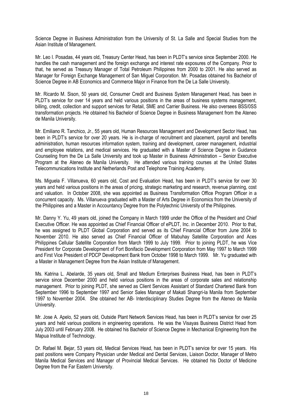Science Degree in Business Administration from the University of St. La Salle and Special Studies from the Asian Institute of Management.

Mr. Leo I. Posadas, 44 years old, Treasury Center Head, has been in PLDT's service since September 2000. He handles the cash management and the foreign exchange and interest rate exposures of the Company. Prior to that, he served as Treasury Manager of Total Petroleum Philippines from 2000 to 2001. He also served as Manager for Foreign Exchange Management of San Miguel Corporation. Mr. Posadas obtained his Bachelor of Science Degree in AB Economics and Commerce Major in Finance from the De La Salle University.

Mr. Ricardo M. Sison, 50 years old, Consumer Credit and Business System Management Head, has been in PLDT's service for over 14 years and held various positions in the areas of business systems management, billing, credit, collection and support services for Retail, SME and Carrier Business. He also oversees BSS/0SS transformation projects. He obtained his Bachelor of Science Degree in Business Management from the Ateneo de Manila University.

Mr. Emiliano R. Tanchico, Jr., 55 years old, Human Resources Management and Development Sector Head, has been in PLDT's service for over 20 years. He is in-charge of recruitment and placement, payroll and benefits administration, human resources information system, training and development, career management, industrial and employee relations, and medical services. He graduated with a Master of Science Degree in Guidance Counseling from the De La Salle University and took up Master in Business Administration – Senior Executive Program at the Ateneo de Manila University. He attended various training courses at the United States Telecommunications Institute and Netherlands Post and Telephone Training Academy.

Ms. Miguela F. Villanueva, 60 years old, Cost and Evaluation Head, has been in PLDT's service for over 30 years and held various positions in the areas of pricing, strategic marketing and research, revenue planning, cost and valuation. In October 2008, she was appointed as Business Transformation Office Program Officer in a concurrent capacity. Ms. Villanueva graduated with a Master of Arts Degree in Economics from the University of the Philippines and a Master in Accountancy Degree from the Polytechnic University of the Philippines.

Mr. Danny Y. Yu, 49 years old, joined the Company in March 1999 under the Office of the President and Chief Executive Officer. He was appointed as Chief Financial Officer of ePLDT, Inc. in December 2010. Prior to that, he was assigned to PLDT Global Corporation and served as its Chief Financial Officer from June 2004 to November 2010. He also served as Chief Financial Officer of Mabuhay Satellite Corporation and Aces Philippines Cellular Satellite Corporation from March 1999 to July 1999. Prior to joining PLDT, he was Vice President for Corporate Development of Fort Bonifacio Development Corporation from May 1997 to March 1999 and First Vice President of PDCP Development Bank from October 1998 to March 1999. Mr. Yu graduated with a Master in Management Degree from the Asian Institute of Management.

Ms. Katrina L. Abelarde, 35 years old, Small and Medium Enterprises Business Head, has been in PLDT's service since December 2000 and held various positions in the areas of corporate sales and relationship management. Prior to joining PLDT, she served as Client Services Assistant of Standard Chartered Bank from September 1996 to September 1997 and Senior Sales Manager of Makati Shangri-la Manila from September 1997 to November 2004. She obtained her AB- Interdisciplinary Studies Degree from the Ateneo de Manila University.

Mr. Jose A. Apelo, 52 years old, Outside Plant Network Services Head, has been in PLDT's service for over 25 years and held various positions in engineering operations. He was the Visayas Business District Head from July 2003 until February 2008. He obtained his Bachelor of Science Degree in Mechanical Engineering from the Mapua Institute of Technology.

Dr. Rafael M. Bejar, 53 years old, Medical Services Head, has been in PLDT's service for over 15 years. His past positions were Company Physician under Medical and Dental Services, Liaison Doctor, Manager of Metro Manila Medical Services and Manager of Provincial Medical Services. He obtained his Doctor of Medicine Degree from the Far Eastern University.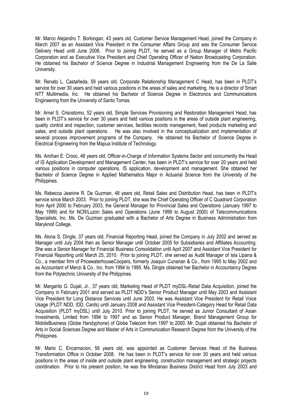Mr. Marco Alejandro T. Borlongan, 43 years old, Customer Service Management Head, joined the Company in March 2007 as an Assistant Vice President in the Consumer Affairs Group and was the Consumer Service Delivery Head until June 2008. Prior to joining PLDT, he served as a Group Manager of Metro Pacific Corporation and as Executive Vice President and Chief Operating Officer of Nation Broadcasting Corporation. He obtained his Bachelor of Science Degree in Industrial Management Engineering from the De La Salle University.

Mr. Renato L. Castañeda, 59 years old, Corporate Relationship Management C Head, has been in PLDT's service for over 30 years and held various positions in the areas of sales and marketing. He is a director of Smart NTT Multimedia, Inc. He obtained his Bachelor of Science Degree in Electronics and Communications Engineering from the University of Santo Tomas.

Mr. Arnel S. Crisostomo, 52 years old, Simple Services Provisioning and Restoration Management Head, has been in PLDT's service for over 30 years and held various positions in the areas of outside plant engineering, quality control and inspection, customer services, facilities records management, fixed products marketing and sales, and outside plant operations . He was also involved in the conceptualization and implementation of several process improvement programs of the Company. He obtained his Bachelor of Science Degree in Electrical Engineering from the Mapua Institute of Technology.

Ms. Amihan E. Crooc, 46 years old, Officer-in-Charge of Information Systems Sector and concurrently the Head of IS Application Development and Management Center, has been in PLDT's service for over 20 years and held various positions in computer operations, IS application, development and management. She obtained her Bachelor of Science Degree in Applied Mathematics Major in Actuarial Science from the University of the Philippines.

Ms. Rebecca Jeanine R. De Guzman, 48 years old, Retail Sales and Distribution Head, has been in PLDT's service since March 2003. Prior to joining PLDT, she was the Chief Operating Officer of C Quadrant Corporation from April 2000 to February 2003, the General Manager for Provincial Sales and Operations (January 1997 to May 1999) and for NCR/Luzon Sales and Operations (June 1999 to August 2000) of Telecommunications Specialists, Inc. Ms. De Guzman graduated with a Bachelor of Arts Degree in Business Administration from Maryknoll College.

Ms. Alona S. Dingle, 37 years old, Financial Reporting Head, joined the Company in July 2002 and served as Manager until July 2004 then as Senior Manager until October 2005 for Subsidiaries and Affiliates Accounting. She was a Senior Manager for Financial Business Consolidation until April 2007 and Assistant Vice President for Financial Reporting until March 25, 2010. Prior to joining PLDT, she served as Audit Manager of Isla Lipana & Co., a member firm of PricewaterhouseCoopers, formerly Joaquin Cunanan & Co., from 1995 to May 2002 and as Accountant of Menzi & Co., Inc. from 1994 to 1995. Ms. Dingle obtained her Bachelor in Accountancy Degree from the Polytechnic University of the Philippines.

Mr. Margarito G. Dujali, Jr., 37 years old, Marketing Head of PLDT myDSL-Retail Data Acquisition, joined the Company in February 2001 and served as PLDT NDD's Senior Product Manager until May 2003 and Assistant Vice President for Long Distance Services until June 2003. He was Assistant Vice President for Retail Voice Usage (PLDT NDD, IDD, Cards) until January 2008 and Assistant Vice President-Category Head for Retail Data Acquisition (PLDT myDSL) until July 2010. Prior to joining PLDT, he served as Junior Consultant of Asian Investments, Limited from 1994 to 1997 and as Senior Product Manager, Brand Management Group for MobileBusiness (Globe Handyphone) of Globe Telecom from 1997 to 2000. Mr. Dujali obtained his Bachelor of Arts in Social Sciences Degree and Master of Arts in Communication Research Degree from the University of the Philippines.

Mr. Mario C. Encarnacion, 56 years old, was appointed as Customer Services Head of the Business Transformation Office in October 2008. He has been in PLDT's service for over 30 years and held various positions in the areas of inside and outside plant engineering, construction management and strategic projects coordination. Prior to his present position, he was the Mindanao Business District Head from July 2003 and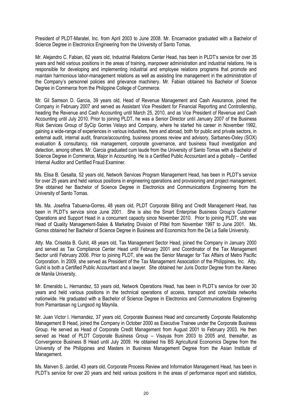President of PLDT-Maratel, Inc. from April 2003 to June 2008. Mr. Encarnacion graduated with a Bachelor of Science Degree in Electronics Engineering from the University of Santo Tomas.

Mr. Alejandro C. Fabian, 62 years old, Industrial Relations Center Head, has been in PLDT's service for over 35 years and held various positions in the areas of training, manpower administration and industrial relations. He is responsible for developing and implementing industrial and employee relations programs that promote and maintain harmonious labor-management relations as well as assisting line management in the administration of the Company's personnel policies and grievance machinery. Mr. Fabian obtained his Bachelor of Science Degree in Commerce from the Philippine College of Commerce.

Mr. Gil Samson D. Garcia, 39 years old, Head of Revenue Management and Cash Assurance, joined the Company in February 2007 and served as Assistant Vice President for Financial Reporting and Controllership, heading the Revenue and Cash Accounting until March 25, 2010, and as Vice President of Revenue and Cash Accounting until July 2010. Prior to joining PLDT, he was a Senior Director until January 2007 of the Business Risk Services Group of SyCip Gorres Velayo and Company, where he started his career in November 1992, gaining a wide-range of experiences in various industries, here and abroad, both for public and private sectors, in external audit, internal audit, finance/accounting, business process review and advisory, Sarbanes-Oxley (SOX) evaluation & consultancy, risk management, corporate governance, and business fraud investigation and detection, among others. Mr. Garcia graduated cum laude from the University of Santo Tomas with a Bachelor of Science Degree in Commerce, Major in Accounting. He is a Certified Public Accountant and a globally – Certified Internal Auditor and Certified Fraud Examiner.

Ms. Elisa B. Gesalta, 52 years old, Network Services Program Management Head, has been in PLDT's service for over 25 years and held various positions in engineering operations and provisioning and project management. She obtained her Bachelor of Science Degree in Electronics and Communications Engineering from the University of Santo Tomas.

Ms. Ma. Josefina Tabuena-Gorres, 48 years old, PLDT Corporate Billing and Credit Management Head, has been in PLDT's service since June 2001. She is also the Smart Enterprise Business Group's Customer Operations and Support Head in a concurrent capacity since November 2010. Prior to joining PLDT, she was Head of Quality Management-Sales & Marketing Division of Piltel from November 1997 to June 2001. Ms. Gorres obtained her Bachelor of Science Degree in Business and Economics from the De La Salle University.

Atty. Ma. Criselda B. Guhit, 48 years old, Tax Management Sector Head, joined the Company in January 2000 and served as Tax Compliance Center Head until February 2001 and Coordinator of the Tax Management Sector until February 2006. Prior to joining PLDT, she was the Senior Manager for Tax Affairs of Metro Pacific Corporation. In 2009, she served as President of the Tax Management Association of the Philippines, Inc. Atty. Guhit is both a Certified Public Accountant and a lawyer. She obtained her Juris Doctor Degree from the Ateneo de Manila University.

Mr. Emeraldo L. Hernandez, 53 years old, Network Operations Head, has been in PLDT's service for over 30 years and held various positions in the technical operations of access, transport and core/data networks nationwide. He graduated with a Bachelor of Science Degree in Electronics and Communications Engineering from Pamantasan ng Lungsod ng Maynila.

Mr. Juan Victor I. Hernandez, 37 years old, Corporate Business Head and concurrently Corporate Relationship Management B Head, joined the Company in October 2000 as Executive Trainee under the Corporate Business Group. He served as Head of Corporate Credit Management from August 2001 to February 2003. He then served as Head of PLDT Corporate Business Group – Visayas from 2003 to 2005 and, thereafter, as Convergence Business B Head until July 2009. He obtained his BS Agricultural Economics Degree from the University of the Philippines and Masters in Business Management Degree from the Asian Institute of Management.

Ms. Marven S. Jardiel, 43 years old, Corporate Process Review and Information Management Head, has been in PLDT's service for over 20 years and held various positions in the areas of performance report and statistics,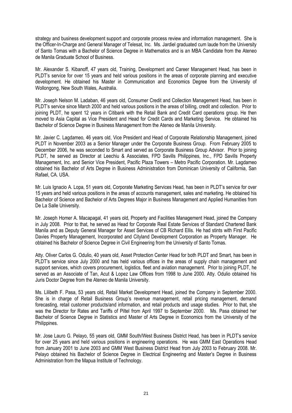strategy and business development support and corporate process review and information management. She is the Officer-In-Charge and General Manager of Telesat, Inc. Ms. Jardiel graduated cum laude from the University of Santo Tomas with a Bachelor of Science Degree in Mathematics and is an MBA Candidate from the Ateneo de Manila Graduate School of Business.

Mr. Alexander S. Kibanoff, 47 years old, Training, Development and Career Management Head, has been in PLDT's service for over 15 years and held various positions in the areas of corporate planning and executive development. He obtained his Master in Communication and Economics Degree from the University of Wollongong, New South Wales, Australia.

Mr. Joseph Nelson M. Ladaban, 46 years old, Consumer Credit and Collection Management Head, has been in PLDT's service since March 2000 and held various positions in the areas of billing, credit and collection. Prior to joining PLDT, he spent 12 years in Citibank with the Retail Bank and Credit Card operations group. He then moved to Asia Capital as Vice President and Head for Credit Cards and Marketing Service. He obtained his Bachelor of Science Degree in Business Management from the Ateneo de Manila University.

Mr. Javier C. Lagdameo, 46 years old, Vice President and Head of Corporate Relationship Management, joined PLDT in November 2003 as a Senior Manager under the Corporate Business Group. From February 2005 to December 2006, he was seconded to Smart and served as Corporate Business Group Advisor. Prior to joining PLDT, he served as Director at Leechiu & Associates, FPD Savills Philippines, Inc., FPD Savills Property Management, Inc. and Senior Vice President, Pacific Plaza Towers – Metro Pacific Corporation. Mr. Lagdameo obtained his Bachelor of Arts Degree in Business Administration from Dominican University of California, San Rafael, CA. USA.

Mr. Luis Ignacio A. Lopa, 51 years old, Corporate Marketing Services Head, has been in PLDT's service for over 15 years and held various positions in the areas of accounts management, sales and marketing. He obtained his Bachelor of Science and Bachelor of Arts Degrees Major in Business Management and Applied Humanities from De La Salle University.

Mr. Joseph Homer A. Macapagal, 41 years old, Property and Facilities Management Head, joined the Company in July 2008. Prior to that, he served as Head for Corporate Real Estate Services of Standard Chartered Bank Manila and as Deputy General Manager for Asset Services of CB Richard Ellis. He had stints with First Pacific Davies Property Management, Incorporated and Cityland Development Corporation as Property Manager. He obtained his Bachelor of Science Degree in Civil Engineering from the University of Santo Tomas.

Atty. Oliver Carlos G. Odulio, 40 years old, Asset Protection Center Head for both PLDT and Smart, has been in PLDT's service since July 2000 and has held various offices in the areas of supply chain management and support services, which covers procurement, logistics, fleet and aviation management. Prior to joining PLDT, he served as an Associate of Tan, Acut & Lopez Law Offices from 1998 to June 2000. Atty. Odulio obtained his Juris Doctor Degree from the Ateneo de Manila University.

Ms. Lilibeth F. Pasa, 53 years old, Retail Market Development Head, joined the Company in September 2000. She is in charge of Retail Business Group's revenue management, retail pricing management, demand forecasting, retail customer products/and information, and retail products and usage studies. Prior to that, she was the Director for Rates and Tariffs of Piltel from April 1997 to September 2000. Ms. Pasa obtained her Bachelor of Science Degree in Statistics and Master of Arts Degree in Economics from the University of the Philippines.

Mr. Jose Lauro G. Pelayo, 55 years old, GMM South/West Business District Head, has been in PLDT's service for over 25 years and held various positions in engineering operations. He was GMM East Operations Head from January 2001 to June 2003 and GMM West Business District Head from July 2003 to February 2008. Mr. Pelayo obtained his Bachelor of Science Degree in Electrical Engineering and Master's Degree in Business Administration from the Mapua Institute of Technology.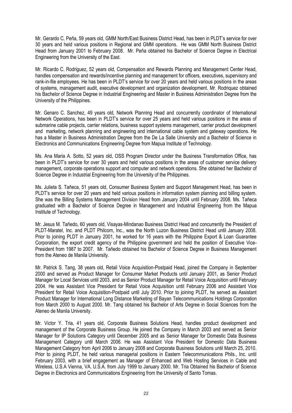Mr. Gerardo C. Peña, 59 years old, GMM North/East Business District Head, has been in PLDT's service for over 30 years and held various positions in Regional and GMM operations. He was GMM North Business District Head from January 2001 to February 2008. Mr. Peña obtained his Bachelor of Science Degree in Electrical Engineering from the University of the East.

Mr. Ricardo C. Rodriguez, 52 years old, Compensation and Rewards Planning and Management Center Head, handles compensation and rewards/incentive planning and management for officers, executives, supervisory and rank-in-file employees. He has been in PLDT's service for over 20 years and held various positions in the areas of systems, management audit, executive development and organization development. Mr. Rodriquez obtained his Bachelor of Science Degree in Industrial Engineering and Master in Business Administration Degree from the University of the Philippines.

Mr. Genaro C. Sanchez, 49 years old, Network Planning Head and concurrently coordinator of International Network Operations, has been in PLDT's service for over 25 years and held various positions in the areas of submarine cable projects, carrier relations, business support systems management, carrier product development and marketing, network planning and engineering and international cable system and gateway operations. He has a Master in Business Administration Degree from the De La Salle University and a Bachelor of Science in Electronics and Communications Engineering Degree from Mapua Institute of Technology.

Ms. Ana Maria A. Sotto, 52 years old, OSS Program Director under the Business Transformation Office, has been in PLDT's service for over 30 years and held various positions in the areas of customer service delivery management, corporate operations support and computer and network operations. She obtained her Bachelor of Science Degree in Industrial Engineering from the University of the Philippines.

Ms. Julieta S. Tañeca, 51 years old, Consumer Business System and Support Management Head, has been in PLDT's service for over 20 years and held various positions in information system planning and billing system. She was the Billing Systems Management Division Head from January 2004 until February 2008. Ms. Tañeca graduated with a Bachelor of Science Degree in Management and Industrial Engineering from the Mapua Institute of Technology.

Mr. Jesus M. Tañedo, 60 years old, Visayas-Mindanao Business District Head and concurrently the President of PLDT-Maratel, Inc. and PLDT Philcom, Inc., was the North Luzon Business District Head until January 2008. Prior to joining PLDT in January 2001, he worked for 16 years with the Philippine Export & Loan Guarantee Corporation, the export credit agency of the Philippine government and held the position of Executive Vice-President from 1987 to 2007. Mr. Tañedo obtained his Bachelor of Science Degree in Business Management from the Ateneo de Manila University.

Mr. Patrick S. Tang, 38 years old, Retail Voice Acquisition-Postpaid Head, joined the Company in September 2000 and served as Product Manager for Consumer Market Products until January 2001, as Senior Product Manager for Local Services until 2003, and as Senior Product Manager for Retail Voice Acquisition until February 2004. He was Assistant Vice President for Retail Voice Acquisition until February 2006 and Assistant Vice President for Retail Voice Acquisition-Postpaid until July 2010. Prior to joining PLDT, he served as Assistant Product Manager for International Long Distance Marketing of Bayan Telecommunications Holdings Corporation from March 2000 to August 2000. Mr. Tang obtained his Bachelor of Arts Degree in Social Sciences from the Ateneo de Manila University.

Mr. Victor Y. Tria, 41 years old, Corporate Business Solutions Head, handles product development and management of the Corporate Business Group. He joined the Company in March 2003 and served as Senior Manager for IP Solutions Category until December 2005 and as Senior Manager for Domestic Data Business Management Category until March 2006. He was Assistant Vice President for Domestic Data Business Management Category from April 2006 to January 2008 and Corporate Business Solutions until March 25, 2010. Prior to joining PLDT, he held various managerial positions in Eastern Telecommunications Phils., Inc. until February 2003, with a brief engagement as Manager of Enhanced and Web Hosting Services in Cable and Wireless, U.S.A Vienna, VA. U.S.A. from July 1999 to January 2000. Mr. Tria Obtained his Bachelor of Science Degree in Electronics and Communications Engineering from the University of Santo Tomas.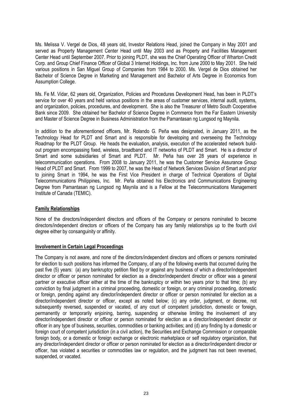Ms. Melissa V. Vergel de Dios, 48 years old, Investor Relations Head, joined the Company in May 2001 and served as Property Management Center Head until May 2003 and as Property and Facilities Management Center Head until September 2007. Prior to joining PLDT, she was the Chief Operating Officer of Wharton Credit Corp. and Group Chief Finance Officer of Global 3 Internet Holdings, Inc. from June 2000 to May 2001. She held various positions in San Miguel Group of Companies from 1984 to 2000. Ms. Vergel de Dios obtained her Bachelor of Science Degree in Marketing and Management and Bachelor of Arts Degree in Economics from Assumption College.

Ms. Fe M. Vidar, 62 years old, Organization, Policies and Procedures Development Head, has been in PLDT's service for over 40 years and held various positions in the areas of customer services, internal audit, systems, and organization, policies, procedures, and development. She is also the Treasurer of Metro South Cooperative Bank since 2009. She obtained her Bachelor of Science Degree in Commerce from the Far Eastern University and Master of Science Degree in Business Administration from the Pamantasan ng Lungsod ng Maynila.

In addition to the aforementioned officers, Mr. Rolando G. Peña was designated, in January 2011, as the Technology Head for PLDT and Smart and is responsible for developing and overseeing the Technology Roadmap for the PLDT Group. He heads the evaluation, analysis, execution of the accelerated network buildout program encompassing fixed, wireless, broadband and IT networks of PLDT and Smart. He is a director of Smart and some subsidiaries of Smart and PLDT. Mr. Peña has over 28 years of experience in telecommunication operations. From 2008 to January 2011, he was the Customer Service Assurance Group Head of PLDT and Smart. From 1999 to 2007, he was the Head of Network Services Division of Smart and prior to joining Smart in 1994, he was the First Vice President in charge of Technical Operations of Digital Telecommunications Philippines, Inc. Mr. Peña obtained his Electronics and Communications Engineering Degree from Pamantasan ng Lungsod ng Maynila and is a Fellow at the Telecommunications Management Institute of Canada (TEMIC).

#### **Family Relationships**

None of the directors/independent directors and officers of the Company or persons nominated to become directors/independent directors or officers of the Company has any family relationships up to the fourth civil degree either by consanguinity or affinity.

#### **Involvement in Certain Legal Proceedings**

The Company is not aware, and none of the directors/independent directors and officers or persons nominated for election to such positions has informed the Company, of any of the following events that occurred during the past five (5) years: (a) any bankruptcy petition filed by or against any business of which a director/independent director or officer or person nominated for election as a director/independent director or officer was a general partner or executive officer either at the time of the bankruptcy or within two years prior to that time; (b) any conviction by final judgment in a criminal proceeding, domestic or foreign, or any criminal proceeding, domestic or foreign, pending against any director/independent director or officer or person nominated for election as a director/independent director or officer, except as noted below; (c) any order, judgment, or decree, not subsequently reversed, suspended or vacated, of any court of competent jurisdiction, domestic or foreign. permanently or temporarily enjoining, barring, suspending or otherwise limiting the involvement of any director/independent director or officer or person nominated for election as a director/independent director or officer in any type of business, securities, commodities or banking activities; and (d) any finding by a domestic or foreign court of competent jurisdiction (in a civil action), the Securities and Exchange Commission or comparable foreign body, or a domestic or foreign exchange or electronic marketplace or self regulatory organization, that any director/independent director or officer or person nominated for election as a director/independent director or officer, has violated a securities or commodities law or regulation, and the judgment has not been reversed, suspended, or vacated.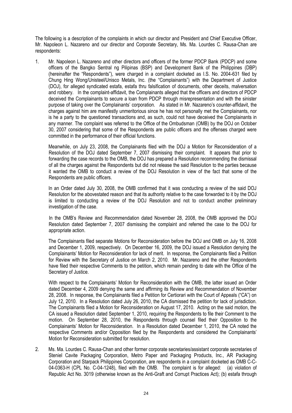The following is a description of the complaints in which our director and President and Chief Executive Officer, Mr. Napoleon L. Nazareno and our director and Corporate Secretary, Ms. Ma. Lourdes C. Rausa-Chan are respondents:

1. Mr. Napoleon L. Nazareno and other directors and officers of the former PDCP Bank (PDCP) and some officers of the Bangko Sentral ng Pilipinas (BSP) and Development Bank of the Philippines (DBP) (hereinafter the "Respondents"), were charged in a complaint docketed as I.S. No. 2004-631 filed by Chung Hing Wong/Unisteel/Unisco Metals, Inc. (the "Complainants") with the Department of Justice (DOJ), for alleged syndicated estafa, estafa thru falsification of documents, other deceits, malversation and robbery. In the complaint-affidavit, the Complainants alleged that the officers and directors of PDCP deceived the Complainants to secure a loan from PDCP through misrepresentation and with the sinister purpose of taking over the Complainants' corporation. As stated in Mr. Nazareno's counter-affidavit, the charges against him are manifestly unmeritorious since he has not personally met the Complainants, nor is he a party to the questioned transactions and, as such, could not have deceived the Complainants in any manner. The complaint was referred to the Office of the Ombudsman (OMB) by the DOJ on October 30, 2007 considering that some of the Respondents are public officers and the offenses charged were committed in the performance of their official functions.

Meanwhile, on July 23, 2008, the Complainants filed with the DOJ a Motion for Reconsideration of a Resolution of the DOJ dated September 7, 2007 dismissing their complaint. It appears that prior to forwarding the case records to the OMB, the DOJ has prepared a Resolution recommending the dismissal of all the charges against the Respondents but did not release the said Resolution to the parties because it wanted the OMB to conduct a review of the DOJ Resolution in view of the fact that some of the Respondents are public officers.

In an Order dated July 30, 2008, the OMB confirmed that it was conducting a review of the said DOJ Resolution for the abovestated reason and that its authority relative to the case forwarded to it by the DOJ is limited to conducting a review of the DOJ Resolution and not to conduct another preliminary investigation of the case.

 In the OMB's Review and Recommendation dated November 28, 2008, the OMB approved the DOJ Resolution dated September 7, 2007 dismissing the complaint and referred the case to the DOJ for appropriate action.

The Complainants filed separate Motions for Reconsideration before the DOJ and OMB on July 16, 2008 and December 1, 2009, respectively. On December 16, 2009, the DOJ issued a Resolution denying the Complainants' Motion for Reconsideration for lack of merit. In response, the Complainants filed a Petition for Review with the Secretary of Justice on March 2, 2010. Mr. Nazareno and the other Respondents have filed their respective Comments to the petition, which remain pending to date with the Office of the Secretary of Justice.

With respect to the Complainants' Motion for Reconsideration with the OMB, the latter issued an Order dated December 4, 2009 denying the same and affirming its Review and Recommendation of November 28, 2008. In response, the Complainants filed a Petition for Certiorari with the Court of Appeals ("CA") on July 12, 2010. In a Resolution dated July 26, 2010, the CA dismissed the petition for lack of jurisdiction. The Complainants filed a Motion for Reconsideration on August 17, 2010. Acting on the said motion, the CA issued a Resolution dated September 1, 2010, requiring the Respondents to file their Comment to the motion. On September 28, 2010, the Respondents through counsel filed their Opposition to the Complainants' Motion for Reconsideration. In a Resolution dated December 1, 2010, the CA noted the respective Comments and/or Opposition filed by the Respondents and considered the Complainants' Motion for Reconsideration submitted for resolution.

2. Ms. Ma. Lourdes C. Rausa-Chan and other former corporate secretaries/assistant corporate secretaries of Steniel Cavite Packaging Corporation, Metro Paper and Packaging Products, Inc., AR Packaging Corporation and Starpack Philippines Corporation, are respondents in a complaint docketed as OMB C-C-04-0363-H (CPL No. C-04-1248), filed with the OMB. The complaint is for alleged: (a) violation of Republic Act No. 3019 (otherwise known as the Anti-Graft and Corrupt Practices Act); (b) estafa through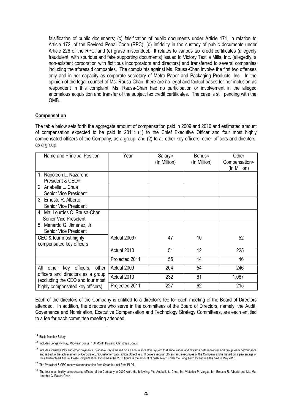falsification of public documents; (c) falsification of public documents under Article 171, in relation to Article 172, of the Revised Penal Code (RPC); (d) infidelity in the custody of public documents under Article 226 of the RPC; and (e) grave misconduct. It relates to various tax credit certificates (allegedly fraudulent, with spurious and fake supporting documents) issued to Victory Textile Mills, Inc. (allegedly, a non-existent corporation with fictitious incorporators and directors) and transferred to several companies including the aforesaid companies. The complaints against Ms. Rausa-Chan involve the first two offenses only and in her capacity as corporate secretary of Metro Paper and Packaging Products, Inc. In the opinion of the legal counsel of Ms. Rausa-Chan, there are no legal and factual bases for her inclusion as respondent in this complaint. Ms. Rausa-Chan had no participation or involvement in the alleged anomalous acquisition and transfer of the subject tax credit certificates. The case is still pending with the OMB.

#### **Compensation**

The table below sets forth the aggregate amount of compensation paid in 2009 and 2010 and estimated amount of compensation expected to be paid in 2011: (1) to the Chief Executive Officer and four most highly compensated officers of the Company, as a group; and (2) to all other key officers, other officers and directors, as a group.

| Name and Principal Position                                           | Year                      | Salary <sup>14</sup><br>(In Million) | Bonus <sup>15</sup><br>(In Million) | Other<br>Compensation <sup>16</sup><br>(In Million) |
|-----------------------------------------------------------------------|---------------------------|--------------------------------------|-------------------------------------|-----------------------------------------------------|
| 1. Napoleon L. Nazareno<br>President & CEO <sub>17</sub>              |                           |                                      |                                     |                                                     |
| 2. Anabelle L. Chua<br>Senior Vice President                          |                           |                                      |                                     |                                                     |
| 3. Ernesto R. Alberto<br><b>Senior Vice President</b>                 |                           |                                      |                                     |                                                     |
| 4. Ma. Lourdes C. Rausa-Chan<br>Senior Vice President                 |                           |                                      |                                     |                                                     |
| 5. Menardo G. Jimenez, Jr.<br>Senior Vice President                   |                           |                                      |                                     |                                                     |
| CEO & four most highly<br>compensated key officers                    | Actual 2009 <sup>18</sup> | 47                                   | 10                                  | 52                                                  |
|                                                                       | Actual 2010               | 51                                   | 12                                  | 225                                                 |
|                                                                       | Projected 2011            | 55                                   | 14                                  | 46                                                  |
| All<br>officers,<br>other<br>other<br>key                             | Actual 2009               | 204                                  | 54                                  | 246                                                 |
| officers and directors as a group<br>(excluding the CEO and four most | Actual 2010               | 232                                  | 61                                  | 1,087                                               |
| highly compensated key officers)                                      | Projected 2011            | 227                                  | 62                                  | 215                                                 |

Each of the directors of the Company is entitled to a director's fee for each meeting of the Board of Directors attended. In addition, the directors who serve in the committees of the Board of Directors, namely, the Audit, Governance and Nomination, Executive Compensation and Technology Strategy Committees, are each entitled to a fee for each committee meeting attended.

1

<sup>14</sup> Basic Monthly Salary

<sup>&</sup>lt;sup>15</sup> Includes Longevity Pay, Mid-year Bonus, 13<sup>th</sup> Month Pay and Christmas Bonus

<sup>&</sup>lt;sup>16</sup> Includes Variable Pay and other payments. Variable Pay is based on an annual incentive system that encourages and rewards both individual and group/team performance and is tied to the achievement of Corporate/Unit/Customer Satisfaction Objectives. It covers regular officers and executives of the Company and is based on a percentage of their Guaranteed Annual Cash Compensation. Included in the 2010 figure is the amount of cash award under the Long Term Incentive Plan paid in May 2010.

<sup>&</sup>lt;sup>17</sup> The President & CEO receives compensation from Smart but not from PLDT.

<sup>&</sup>lt;sup>18</sup> The four most highly compensated officers of the Company in 2009 were the following: Ms. Anabelle L. Chua, Mr. Victorico P. Vargas, Mr. Ernesto R. Alberto and Ms. Ma. Lourdes C. Rausa-Chan.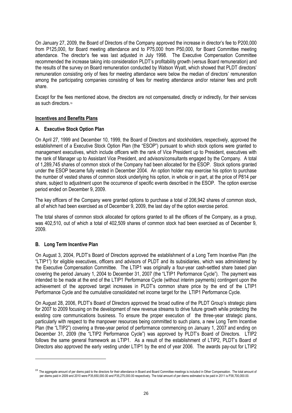On January 27, 2009, the Board of Directors of the Company approved the increase in director's fee to P200,000 from P125,000, for Board meeting attendance and to P75,000 from P50,000, for Board Committee meeting attendance. The director's fee was last adjusted in July 1998. The Executive Compensation Committee recommended the increase taking into consideration PLDT's profitability growth (versus Board remuneration) and the results of the survey on Board remuneration conducted by Watson Wyatt, which showed that PLDT directors' remuneration consisting only of fees for meeting attendance were below the median of directors' remuneration among the participating companies consisting of fees for meeting attendance and/or retainer fees and profit share.

Except for the fees mentioned above, the directors are not compensated, directly or indirectly, for their services as such directors.<sup>19</sup>

#### **Incentives and Benefits Plans**

#### **A. Executive Stock Option Plan**

On April 27, 1999 and December 10, 1999, the Board of Directors and stockholders, respectively, approved the establishment of a Executive Stock Option Plan (the "ESOP") pursuant to which stock options were granted to management executives, which include officers with the rank of Vice President up to President, executives with the rank of Manager up to Assistant Vice President, and advisors/consultants engaged by the Company. A total of 1,289,745 shares of common stock of the Company had been allocated for the ESOP. Stock options granted under the ESOP became fully vested in December 2004. An option holder may exercise his option to purchase the number of vested shares of common stock underlying his option, in whole or in part, at the price of P814 per share, subject to adjustment upon the occurrence of specific events described in the ESOP. The option exercise period ended on December 9, 2009.

The key officers of the Company were granted options to purchase a total of 206,942 shares of common stock, all of which had been exercised as of December 9, 2009, the last day of the option exercise period.

The total shares of common stock allocated for options granted to all the officers of the Company, as a group, was 402,510, out of which a total of 402,509 shares of common stock had been exercised as of December 9, 2009.

#### **B. Long Term Incentive Plan**

1

On August 3, 2004, PLDT's Board of Directors approved the establishment of a Long Term Incentive Plan (the "LTIP1") for eligible executives, officers and advisors of PLDT and its subsidiaries, which was administered by the Executive Compensation Committee. The LTIP1 was originally a four-year cash-settled share based plan covering the period January 1, 2004 to December 31, 2007 (the "LTIP1 Performance Cycle"). The payment was intended to be made at the end of the LTIP1 Performance Cycle (without interim payments) contingent upon the achievement of the approved target increases in PLDT's common share price by the end of the LTIP1 Performance Cycle and the cumulative consolidated net income target for the LTIP1 Performance Cycle.

On August 28, 2006, PLDT's Board of Directors approved the broad outline of the PLDT Group's strategic plans for 2007 to 2009 focusing on the development of new revenue streams to drive future growth while protecting the existing core communications business. To ensure the proper execution of the three-year strategic plans, particularly with respect to the manpower resources being committed to such plans, a new Long Term Incentive Plan (the "LTIP2") covering a three-year period of performance commencing on January 1, 2007 and ending on December 31, 2009 (the "LTIP2 Performance Cycle") was approved by PLDT's Board of Directors. LTIP2 follows the same general framework as LTIP1. As a result of the establishment of LTIP2, PLDT's Board of Directors also approved the early vesting under LTIP1 by the end of year 2006. The awards pay-out for LTIP2

<sup>&</sup>lt;sup>19</sup> The aggregate amount of per diems paid to the directors for their attendance in Board and Board Committee meetings is included in Other Compensation. The total amount of per diems paid in 2009 and 2010 were P35,650,000.00 and P35,275,000.00 respectively. The total amount of per diems estimated to be paid in 2011 is P38,700,000.00.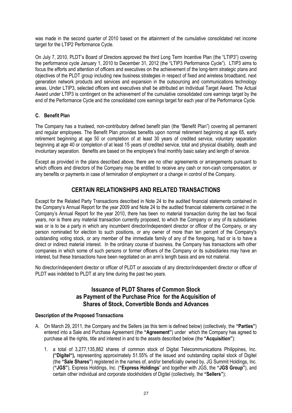was made in the second quarter of 2010 based on the attainment of the cumulative consolidated net income target for the LTIP2 Performance Cycle.

On July 7, 2010, PLDT's Board of Directors approved the third Long Term Incentive Plan (the "LTIP3") covering the performance cycle January 1, 2010 to December 31, 2012 (the "LTIP3 Performance Cycle"). LTIP3 aims to focus the efforts and attention of officers and executives on the achievement of the long-term strategic plans and objectives of the PLDT group including new business strategies in respect of fixed and wireless broadband, next generation network products and services and expansion in the outsourcing and communications technology areas. Under LTIP3, selected officers and executives shall be attributed an Individual Target Award. The Actual Award under LTIP3 is contingent on the achievement of the cumulative consolidated core earnings target by the end of the Performance Cycle and the consolidated core earnings target for each year of the Performance Cycle.

#### **C. Benefit Plan**

The Company has a trusteed, non-contributory defined benefit plan (the "Benefit Plan") covering all permanent and regular employees. The Benefit Plan provides benefits upon normal retirement beginning at age 65, early retirement beginning at age 50 or completion of at least 30 years of credited service, voluntary separation beginning at age 40 or completion of at least 15 years of credited service, total and physical disability, death and involuntary separation. Benefits are based on the employee's final monthly basic salary and length of service.

Except as provided in the plans described above, there are no other agreements or arrangements pursuant to which officers and directors of the Company may be entitled to receive any cash or non-cash compensation, or any benefits or payments in case of termination of employment or a change in control of the Company.

# **CERTAIN RELATIONSHIPS AND RELATED TRANSACTIONS**

Except for the Related Party Transactions described in Note 24 to the audited financial statements contained in the Company's Annual Report for the year 2009 and Note 24 to the audited financial statements contained in the Company's Annual Report for the year 2010, there has been no material transaction during the last two fiscal years, nor is there any material transaction currently proposed, to which the Company or any of its subsidiaries was or is to be a party in which any incumbent director/independent director or officer of the Company, or any person nominated for election to such positions, or any owner of more than ten percent of the Company's outstanding voting stock, or any member of the immediate family of any of the foregoing, had or is to have a direct or indirect material interest. In the ordinary course of business, the Company has transactions with other companies in which some of such persons or former officers of the Company or its subsidiaries may have an interest, but these transactions have been negotiated on an arm's length basis and are not material.

No director/independent director or officer of PLDT or associate of any director/independent director or officer of PLDT was indebted to PLDT at any time during the past two years.

# **Issuance of PLDT Shares of Common Stock as Payment of the Purchase Price for the Acquisition of Shares of Stock, Convertible Bonds and Advances**

#### **Description of the Proposed Transactions**

- A. On March 29, 2011, the Company and the Sellers (as this term is defined below) (collectively, the **"Parties"**) entered into a Sale and Purchase Agreement (the **"Agreement"**) under which the Company has agreed to purchase all the rights, title and interest in and to the assets described below (the **"Acquisition"**):
	- 1. a total of 3,277,135,882 shares of common stock of Digital Telecommunications Philippines, Inc. **("Digitel"),** representing approximately 51.55% of the issued and outstanding capital stock of Digitel (the **"Sale Shares"**) registered in the names of, and/or beneficially owned by, JG Summit Holdings, Inc. (**"JGS"**), Express Holdings, Inc. (**"Express Holdings**" and together with JGS, the **"JGS Group"**), and certain other individual and corporate stockholders of Digitel (collectively, the **"Sellers"**);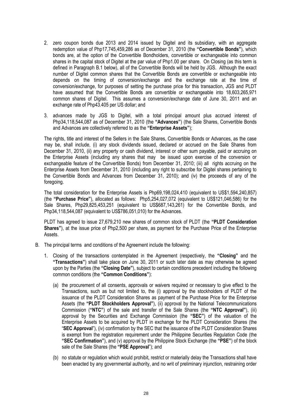- 2. zero coupon bonds due 2013 and 2014 issued by Digitel and its subsidiary, with an aggregate redemption value of Php17,745,459,286 as of December 31, 2010 (the **"Convertible Bonds"**), which bonds are, at the option of the Convertible Bondholders, convertible or exchangeable into common shares in the capital stock of Digitel at the par value of Php1.00 per share. On Closing (as this term is defined in Paragraph B.1 below), all of the Convertible Bonds will be held by JGS. Although the exact number of Digitel common shares that the Convertible Bonds are convertible or exchangeable into depends on the timing of conversion/exchange and the exchange rate at the time of conversion/exchange, for purposes of setting the purchase price for this transaction, JGS and PLDT have assumed that the Convertible Bonds are convertible or exchangeable into 18,603,265,971 common shares of Digitel. This assumes a conversion/exchange date of June 30, 2011 and an exchange rate of Php43.405 per US dollar; and
- 3. advances made by JGS to Digitel, with a total principal amount plus accrued interest of Php34,118,544,087 as of December 31, 2010 (the **"Advances"**) (the Sale Shares, Convertible Bonds and Advances are collectively referred to as the **"Enterprise Assets"**);

The rights, title and interest of the Sellers in the Sale Shares, Convertible Bonds or Advances, as the case may be, shall include, (i) any stock dividends issued, declared or accrued on the Sale Shares from December 31, 2010, (ii) any property or cash dividend, interest or other sum payable, paid or accruing on the Enterprise Assets (including any shares that may be issued upon exercise of the conversion or exchangeable feature of the Convertible Bonds) from December 31, 2010; (iii) all rights accruing on the Enterprise Assets from December 31, 2010 (including any right to subscribe for Digitel shares pertaining to the Convertible Bonds and Advances from December 31, 2010); and (iv) the proceeds of any of the foregoing.

The total consideration for the Enterprise Assets is Php69,198,024,410 (equivalent to US\$1,594,240,857) (the **"Purchase Price"**), allocated as follows: Php5,254,027,072 (equivalent to US\$121,046,586) for the Sale Shares, Php29,825,453,251 (equivalent to US\$687,143,261) for the Convertible Bonds, and Php34,118,544,087 (equivalent to US\$786,051,010) for the Advances.

PLDT has agreed to issue 27,679,210 new shares of common stock of PLDT (the **"PLDT Consideration Shares"**), at the issue price of Php2,500 per share, as payment for the Purchase Price of the Enterprise Assets.

- B. The principal terms and conditions of the Agreement include the following:
	- 1. Closing of the transactions contemplated in the Agreement (respectively, the **"Closing"** and the **"Transactions"**) shall take place on June 30, 2011 or such later date as may otherwise be agreed upon by the Parties (the **"Closing Date"**), subject to certain conditions precedent including the following common conditions (the **"Common Conditions"**):
		- (a) the procurement of all consents, approvals or waivers required or necessary to give effect to the Transactions, such as but not limited to, the (i) approval by the stockholders of PLDT of the issuance of the PLDT Consideration Shares as payment of the Purchase Price for the Enterprise Assets (the **"PLDT Stockholders Approval"**), (ii) approval by the National Telecommunications Commission (**"NTC"**) of the sale and transfer of the Sale Shares (the **"NTC Approval"**), (iii) approval by the Securities and Exchange Commission (the **"SEC"**) of the valuation of the Enterprise Assets to be acquired by PLDT in exchange for the PLDT Consideration Shares (the "**SEC Approval**"), (iv) confirmation by the SEC that the issuance of the PLDT Consideration Shares is exempt from the registration requirement under the Philippine Securities Regulation Code (the **"SEC Confirmation"**), and (v) approval by the Philippine Stock Exchange (the **"PSE"**) of the block sale of the Sale Shares (the **"PSE Approval**"); and
		- (b) no statute or regulation which would prohibit, restrict or materially delay the Transactions shall have been enacted by any governmental authority, and no writ of preliminary injunction, restraining order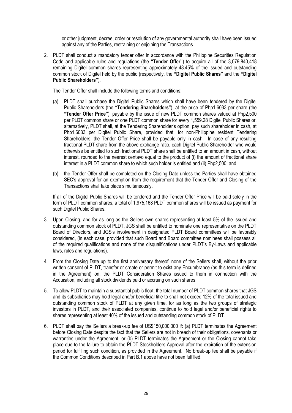or other judgment, decree, order or resolution of any governmental authority shall have been issued against any of the Parties, restraining or enjoining the Transactions.

2. PLDT shall conduct a mandatory tender offer in accordance with the Philippine Securities Regulation Code and applicable rules and regulations (the **"Tender Offer"**) to acquire all of the 3,079,840,418 remaining Digitel common shares representing approximately 48.45% of the issued and outstanding common stock of Digitel held by the public (respectively, the **"Digitel Public Shares"** and the **"Digitel Public Shareholders"**).

The Tender Offer shall include the following terms and conditions:

- (a) PLDT shall purchase the Digitel Public Shares which shall have been tendered by the Digitel Public Shareholders (the **"Tendering Shareholders"**), at the price of Php1.6033 per share (the **"Tender Offer Price"**), payable by the issue of new PLDT common shares valued at Php2,500 per PLDT common share or one PLDT common share for every 1,559.28 Digitel Public Shares or, alternatively, PLDT shall, at the Tendering Shareholder's option, pay such shareholder in cash, at Php1.6033 per Digitel Public Share, provided that, for non-Philippine resident Tendering Shareholders, the Tender Offer Price shall be payable only in cash. In case of any resulting fractional PLDT share from the above exchange ratio, each Digitel Public Shareholder who would otherwise be entitled to such fractional PLDT share shall be entitled to an amount in cash, without interest, rounded to the nearest centavo equal to the product of (i) the amount of fractional share interest in a PLDT common share to which such holder is entitled and (ii) Php2,500; and
- (b) the Tender Offer shall be completed on the Closing Date unless the Parties shall have obtained SEC's approval for an exemption from the requirement that the Tender Offer and Closing of the Transactions shall take place simultaneously.

If all of the Digitel Public Shares will be tendered and the Tender Offer Price will be paid solely in the form of PLDT common shares, a total of 1,975,168 PLDT common shares will be issued as payment for such Digitel Public Shares.

- 3. Upon Closing, and for as long as the Sellers own shares representing at least 5% of the issued and outstanding common stock of PLDT, JGS shall be entitled to nominate one representative on the PLDT Board of Directors, and JGS's involvement in designated PLDT Board committees will be favorably considered, (in each case, provided that such Board and Board committee nominees shall possess all of the required qualifications and none of the disqualifications under PLDT's By-Laws and applicable laws, rules and regulations).
- 4. From the Closing Date up to the first anniversary thereof, none of the Sellers shall, without the prior written consent of PLDT, transfer or create or permit to exist any Encumbrance (as this term is defined in the Agreement) on, the PLDT Consideration Shares issued to them in connection with the Acquisition, including all stock dividends paid or accruing on such shares.
- 5. To allow PLDT to maintain a substantial public float, the total number of PLDT common shares that JGS and its subsidiaries may hold legal and/or beneficial title to shall not exceed 12% of the total issued and outstanding common stock of PLDT at any given time, for as long as the two groups of strategic investors in PLDT, and their associated companies, continue to hold legal and/or beneficial rights to shares representing at least 40% of the issued and outstanding common stock of PLDT.
- 6. PLDT shall pay the Sellers a break-up fee of US\$150,000,000 if: (a) PLDT terminates the Agreement before Closing Date despite the fact that the Sellers are not in breach of their obligations, covenants or warranties under the Agreement, or (b) PLDT terminates the Agreement or the Closing cannot take place due to the failure to obtain the PLDT Stockholders Approval after the expiration of the extension period for fulfilling such condition, as provided in the Agreement. No break-up fee shall be payable if the Common Conditions described in Part B.1 above have not been fulfilled.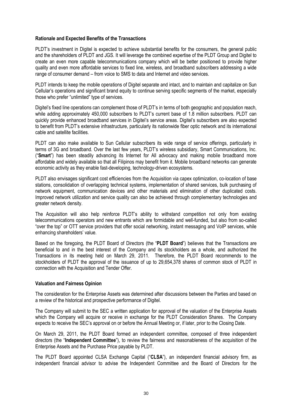#### **Rationale and Expected Benefits of the Transactions**

PLDT's investment in Digitel is expected to achieve substantial benefits for the consumers, the general public and the shareholders of PLDT and JGS. It will leverage the combined expertise of the PLDT Group and Digitel to create an even more capable telecommunications company which will be better positioned to provide higher quality and even more affordable services to fixed line, wireless, and broadband subscribers addressing a wide range of consumer demand – from voice to SMS to data and Internet and video services.

PLDT intends to keep the mobile operations of Digitel separate and intact, and to maintain and capitalize on Sun Cellular's operations and significant brand equity to continue serving specific segments of the market, especially those who prefer "unlimited" type of services.

Digitel's fixed line operations can complement those of PLDT's in terms of both geographic and population reach, while adding approximately 450,000 subscribers to PLDT's current base of 1.8 million subscribers. PLDT can quickly provide enhanced broadband services in Digitel's service areas. Digitel's subscribers are also expected to benefit from PLDT's extensive infrastructure, particularly its nationwide fiber optic network and its international cable and satellite facilities.

PLDT can also make available to Sun Cellular subscribers its wide range of service offerings, particularly in terms of 3G and broadband. Over the last few years, PLDT's wireless subsidiary, Smart Communications, Inc. ("**Smart**") has been steadily advancing its Internet for All advocacy and making mobile broadband more affordable and widely available so that all Filipinos may benefit from it. Mobile broadband networks can generate economic activity as they enable fast-developing, technology-driven ecosystems.

PLDT also envisages significant cost efficiencies from the Acquisition via capex optimization, co-location of base stations, consolidation of overlapping technical systems, implementation of shared services, bulk purchasing of network equipment, communication devices and other materials and elimination of other duplicated costs. Improved network utilization and service quality can also be achieved through complementary technologies and greater network density.

The Acquisition will also help reinforce PLDT's ability to withstand competition not only from existing telecommunications operators and new entrants which are formidable and well-funded, but also from so-called "over the top" or OTT service providers that offer social networking, instant messaging and VoIP services, while enhancing shareholders' value.

Based on the foregoing, the PLDT Board of Directors (the "**PLDT Board**") believes that the Transactions are beneficial to and in the best interest of the Company and its stockholders as a whole, and authorized the Transactions in its meeting held on March 29, 2011. Therefore, the PLDT Board recommends to the stockholders of PLDT the approval of the issuance of up to 29.654.378 shares of common stock of PLDT in connection with the Acquisition and Tender Offer.

#### **Valuation and Fairness Opinion**

The consideration for the Enterprise Assets was determined after discussions between the Parties and based on a review of the historical and prospective performance of Digitel.

The Company will submit to the SEC a written application for approval of the valuation of the Enterprise Assets which the Company will acquire or receive in exchange for the PLDT Consideration Shares. The Company expects to receive the SEC's approval on or before the Annual Meeting or, if later, prior to the Closing Date.

On March 29, 2011, the PLDT Board formed an independent committee, composed of three independent directors (the "**Independent Committee**"), to review the fairness and reasonableness of the acquisition of the Enterprise Assets and the Purchase Price payable by PLDT.

The PLDT Board appointed CLSA Exchange Capital ("**CLSA**"), an independent financial advisory firm, as independent financial advisor to advise the Independent Committee and the Board of Directors for the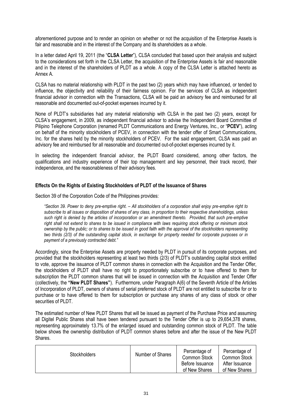aforementioned purpose and to render an opinion on whether or not the acquisition of the Enterprise Assets is fair and reasonable and in the interest of the Company and its shareholders as a whole.

In a letter dated April 19, 2011 (the "**CLSA Letter**"), CLSA concluded that based upon their analysis and subject to the considerations set forth in the CLSA Letter, the acquisition of the Enterprise Assets is fair and reasonable and in the interest of the shareholders of PLDT as a whole. A copy of the CLSA Letter is attached hereto as Annex A.

CLSA has no material relationship with PLDT in the past two (2) years which may have influenced, or tended to influence, the objectivity and reliability of their fairness opinion. For the services of CLSA as independent financial advisor in connection with the Transactions, CLSA will be paid an advisory fee and reimbursed for all reasonable and documented out-of-pocket expenses incurred by it.

None of PLDT's subsidiaries had any material relationship with CLSA in the past two (2) years, except for CLSA's engagement, in 2009, as independent financial advisor to advise the Independent Board Committee of Pilipino Telephone Corporation (renamed PLDT Communications and Energy Ventures, Inc., or "**PCEV**"), acting on behalf of the minority stockholders of PCEV, in connection with the tender offer of Smart Communications, Inc. for the shares held by the minority stockholders of PCEV. For the said engagement, CLSA was paid an advisory fee and reimbursed for all reasonable and documented out-of-pocket expenses incurred by it.

In selecting the independent financial advisor, the PLDT Board considered, among other factors, the qualifications and industry experience of their top management and key personnel, their track record, their independence, and the reasonableness of their advisory fees.

#### **Effects On the Rights of Existing Stockholders of PLDT of the Issuance of Shares**

Section 39 of the Corporation Code of the Philippines provides:

*"Section 39. Power to deny pre-emptive right. – All stockholders of a corporation shall enjoy pre-emptive right to subscribe to all issues or disposition of shares of any class, in proportion to their respective shareholdings, unless such right is denied by the articles of incorporation or an amendment thereto. Provided, that such pre-emptive right shall not extend to shares to be issued in compliance with laws requiring stock offering or minimum stock ownership by the public; or to shares to be issued in good faith with the approval of the stockholders representing two thirds (2/3) of the outstanding capital stock, in exchange for property needed for corporate purposes or in payment of a previously contracted debt."*

Accordingly, since the Enterprise Assets are property needed by PLDT in pursuit of its corporate purposes, and provided that the stockholders representing at least two thirds (2/3) of PLDT's outstanding capital stock entitled to vote, approve the issuance of PLDT common shares in connection with the Acquisition and the Tender Offer, the stockholders of PLDT shall have no right to proportionately subscribe or to have offered to them for subscription the PLDT common shares that will be issued in connection with the Acquisition and Tender Offer (collectively, the **"New PLDT Shares"**). Furthermore, under Paragraph A(6) of the Seventh Article of the Articles of Incorporation of PLDT, owners of shares of serial preferred stock of PLDT are not entitled to subscribe for or to purchase or to have offered to them for subscription or purchase any shares of any class of stock or other securities of PLDT.

The estimated number of New PLDT Shares that will be issued as payment of the Purchase Price and assuming all Digitel Public Shares shall have been tendered pursuant to the Tender Offer is up to 29,654,378 shares, representing approximately 13.7% of the enlarged issued and outstanding common stock of PLDT. The table below shows the ownership distribution of PLDT common shares before and after the issue of the New PLDT **Shares** 

| <b>Stockholders</b> | Number of Shares | Percentage of<br><b>Common Stock</b><br>Before Issuance<br>of New Shares | Percentage of<br>Common Stock<br>After Issuance<br>of New Shares |
|---------------------|------------------|--------------------------------------------------------------------------|------------------------------------------------------------------|
|---------------------|------------------|--------------------------------------------------------------------------|------------------------------------------------------------------|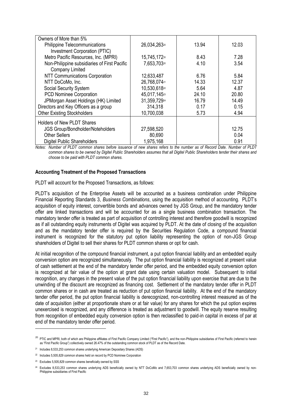| Owners of More than 5%                       |              |       |       |
|----------------------------------------------|--------------|-------|-------|
| <b>Philippine Telecommunications</b>         | 26,034,26320 | 13.94 | 12.03 |
| Investment Corporation (PTIC)                |              |       |       |
| Metro Pacific Resources, Inc. (MPRI)         | 15,745,17220 | 8.43  | 7.28  |
| Non-Philippine subsidiaries of First Pacific | 7,653,70320  | 4.10  | 3.54  |
| Company Limited                              |              |       |       |
| NTT Communications Corporation               | 12,633,487   | 6.76  | 5.84  |
| NTT DoCoMo, Inc.                             | 26,768,07421 | 14.33 | 12.37 |
| Social Security System                       | 10,530,61822 | 5.64  | 4.87  |
| PCD Nominee Corporation                      | 45,017,14523 | 24.10 | 20.80 |
| JPMorgan Asset Holdings (HK) Limited         | 31,359,72924 | 16.79 | 14.49 |
| Directors and Key Officers as a group        | 314,318      | 0.17  | 0.15  |
| <b>Other Existing Stockholders</b>           | 10,700,038   | 5.73  | 4.94  |
| <b>Holders of New PLDT Shares</b>            |              |       |       |
| <b>JGS Group/Bondholder/Noteholders</b>      | 27,598,520   |       | 12.75 |
| <b>Other Sellers</b>                         | 80,690       |       | 0.04  |
| <b>Digitel Public Shareholders</b>           | 1,975,168    |       | 0.91  |

*Notes: Number of PLDT common shares before issuance of new shares refers to the number as of Record Date. Number of PLDT common shares to be owned by Digitel Public Shareholders assumes that all Digitel Public Shareholders tender their shares and choose to be paid with PLDT common shares.*

#### **Accounting Treatment of the Proposed Transactions**

PLDT will account for the Proposed Transactions, as follows:

PLDT's acquisition of the Enterprise Assets will be accounted as a business combination under Philippine Financial Reporting Standards 3, *Business Combinations*, using the acquisition method of accounting. PLDT's acquisition of equity interest, convertible bonds and advances owned by JGS Group, and the mandatory tender offer are linked transactions and will be accounted for as a single business combination transaction. The mandatory tender offer is treated as part of acquisition of controlling interest and therefore goodwill is recognized as if all outstanding equity instruments of Digitel was acquired by PLDT. At the date of closing of the acquisition and as the mandatory tender offer is required by the Securities Regulation Code, a compound financial instrument is recognized for the statutory put option liability representing the option of non-JGS Group shareholders of Digitel to sell their shares for PLDT common shares or opt for cash.

At initial recognition of the compound financial instrument, a put option financial liability and an embedded equity conversion option are recognized simultaneously. The put option financial liability is recognized at present value of cash settlement at the end of the mandatory tender offer period, and the embedded equity conversion option is recognized at fair value of the option at grant date using certain valuation model. Subsequent to initial recognition, any changes in the present value of the put option financial liability upon exercise that are due to the unwinding of the discount are recognized as financing cost. Settlement of the mandatory tender offer in PLDT common shares or in cash are treated as reduction of put option financial liability. At the end of the mandatory tender offer period, the put option financial liability is derecognized, non-controlling interest measured as of the date of acquisition (either at proportionate share or at fair value) for any shares for which the put option expires unexercised is recognized, and any difference is treated as adjustment to goodwill. The equity reserve resulting from recognition of embedded equity conversion option is then reclassified to paid-in capital in excess of par at end of the mandatory tender offer period.

-

<sup>&</sup>lt;sup>20</sup> PTIC and MPRI, both of which are Philippine affiliates of First Pacific Company Limited ("First Pacific"), and the non-Philippine subsidiaries of First Pacific (referred to herein as "First Pacific Group") collectively owned 26.47% of the outstanding common stock of PLDT as of the Record Date.

<sup>21</sup> Includes 8,533,253 common shares underlying American Depositary Shares (ADS)

<sup>22</sup> Includes 5,505,829 common shares held on record by PCD Nominee Corporation

<sup>&</sup>lt;sup>23</sup> Excludes 5,505,829 common shares beneficially owned by SSS

<sup>24</sup> Excludes 8,533,253 common shares underlying ADS beneficially owned by NTT DoCoMo and 7,653,703 common shares underlying ADS beneficially owned by non-Philippine subsidiaries of First Pacific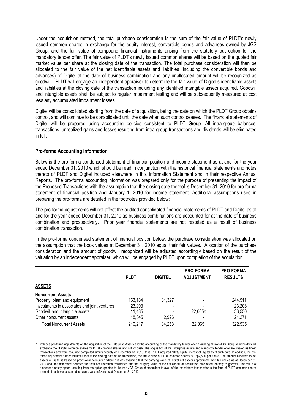Under the acquisition method, the total purchase consideration is the sum of the fair value of PLDT's newly issued common shares in exchange for the equity interest, convertible bonds and advances owned by JGS Group, and the fair value of compound financial instruments arising from the statutory put option for the mandatory tender offer. The fair value of PLDT's newly issued common shares will be based on the quoted fair market value per share at the closing date of the transaction. The total purchase consideration will then be allocated to the fair value of the net identifiable assets and liabilities (including the convertible bonds and advances) of Digitel at the date of business combination and any unallocated amount will be recognized as goodwill. PLDT will engage an independent appraiser to determine the fair value of Digitel's identifiable assets and liabilities at the closing date of the transaction including any identified intangible assets acquired. Goodwill and intangible assets shall be subject to regular impairment testing and will be subsequently measured at cost less any accumulated impairment losses.

Digitel will be consolidated starting from the date of acquisition, being the date on which the PLDT Group obtains control, and will continue to be consolidated until the date when such control ceases. The financial statements of Digitel will be prepared using accounting policies consistent to PLDT Group. All intra-group balances, transactions, unrealized gains and losses resulting from intra-group transactions and dividends will be eliminated in full.

#### **Pro-forma Accounting Information**

1

Below is the pro-forma condensed statement of financial position and income statement as at and for the year ended December 31, 2010 which should be read in conjunction with the historical financial statements and notes thereto of PLDT and Digitel included elsewhere in this Information Statement and in their respective Annual Reports. The pro-forma accounting information was prepared only for the purpose of presenting the impact of the Proposed Transactions with the assumption that the closing date thereof is December 31, 2010 for pro-forma statement of financial position and January 1, 2010 for income statement. Additional assumptions used in preparing the pro-forma are detailed in the footnotes provided below:

The pro-forma adjustments will not affect the audited consolidated financial statements of PLDT and Digitel as at and for the year ended December 31, 2010 as business combinations are accounted for at the date of business combination and prospectively. Prior year financial statements are not restated as a result of business combination transaction.

In the pro-forma condensed statement of financial position below, the purchase consideration was allocated on the assumption that the book values at December 31, 2010 equal their fair values. Allocation of the purchase consideration and the amount of goodwill recognized will be adjusted accordingly based on the result of the valuation by an independent appraiser, which will be engaged by PLDT upon completion of the acquisition.

|                                              | <b>PLDT</b> | <b>DIGITEL</b> | <b>PRO-FORMA</b><br><b>ADJUSTMENT</b> | <b>PRO-FORMA</b><br><b>RESULTS</b> |
|----------------------------------------------|-------------|----------------|---------------------------------------|------------------------------------|
| <b>ASSETS</b>                                |             |                |                                       |                                    |
| <b>Noncurrent Assets</b>                     |             |                |                                       |                                    |
| Property, plant and equipment                | 163.184     | 81.327         |                                       | 244,511                            |
| Investments in associates and joint ventures | 23,203      |                |                                       | 23,203                             |
| Goodwill and intangible assets               | 11,485      |                | 22,06525                              | 33,550                             |
| Other noncurrent assets                      | 18,345      | 2,926          |                                       | 21,271                             |
| Total Noncurrent Assets                      | 216,217     | 84,253         | 22,065                                | 322,535                            |

<sup>&</sup>lt;sup>25</sup> Includes pro-forma adjustments on the acquisition of the Enterprise Assets and the accounting of the mandatory tender offer assuming all non-JGS Group shareholders will exchange their Digitel common shares for PLDT common shares and not for cash. The acquisition of the Enterprise Assets and mandatory tender offer are treated as linked transactions and were assumed completed simultaneously on December 31, 2010, thus, PLDT acquired 100% equity interest of Digitel as of such date. In addition, the proforma adjustment further assumes that at the closing date of the transaction, the share price of PLDT common shares is Php2,500 per share. The amount allocated to net assets of Digitel is based on provisional accounting wherein it was assumed that the carrying value of Digitel net assets approximate their fair values as at December 31, 2010 and the difference between the total consideration transferred and the carrying value of the net assets at acquisition date refers entirely to goodwill. The value of embedded equity option resulting from the option granted to the non-JGS Group shareholders to avail of the mandatory tender offer in the form of PLDT common shares instead of cash was assumed to have a value of zero as at December 31, 2010.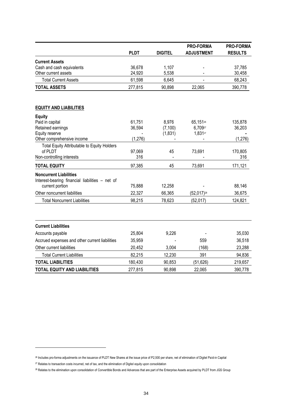|                                                                                  |             |                | PRO-FORMA                | <b>PRO-FORMA</b> |
|----------------------------------------------------------------------------------|-------------|----------------|--------------------------|------------------|
|                                                                                  | <b>PLDT</b> | <b>DIGITEL</b> | <b>ADJUSTMENT</b>        | <b>RESULTS</b>   |
| <b>Current Assets</b>                                                            |             |                |                          |                  |
| Cash and cash equivalents                                                        | 36,678      | 1,107          |                          | 37,785           |
| Other current assets                                                             | 24,920      | 5,538          |                          | 30,458           |
| <b>Total Current Assets</b>                                                      | 61,598      | 6,645          |                          | 68,243           |
| <b>TOTAL ASSETS</b>                                                              | 277,815     | 90,898         | 22,065                   | 390,778          |
| <b>EQUITY AND LIABILITIES</b>                                                    |             |                |                          |                  |
| <b>Equity</b>                                                                    |             |                |                          |                  |
| Paid in capital                                                                  | 61,751      | 8,976          | 65,15126                 | 135,878          |
| Retained earnings                                                                | 36,594      | (7, 100)       | 6,70927                  | 36,203           |
| Equity reserve                                                                   |             | (1,831)        | 1,83127                  |                  |
| Other comprehensive income                                                       | (1, 276)    |                |                          | (1, 276)         |
| Total Equity Attributable to Equity Holders                                      |             |                |                          |                  |
| of PLDT                                                                          | 97,069      | 45             | 73,691                   | 170,805          |
| Non-controlling interests                                                        | 316         |                |                          | 316              |
| <b>TOTAL EQUITY</b>                                                              | 97,385      | 45             | 73,691                   | 171,121          |
| <b>Noncurrent Liabilities</b><br>Interest-bearing financial liabilities - net of |             |                |                          |                  |
| current portion                                                                  | 75,888      | 12,258         |                          | 88,146           |
| Other noncurrent liabilities                                                     | 22,327      | 66,365         | $(52,017)$ <sup>28</sup> | 36,675           |
| <b>Total Noncurrent Liabilities</b>                                              | 98,215      | 78,623         | (52,017)                 | 124,821          |
| <b>Current Liabilities</b>                                                       |             |                |                          |                  |
| Accounts payable                                                                 | 25,804      | 9,226          |                          | 35,030           |
| Accrued expenses and other current liabilities                                   | 35,959      |                | 559                      | 36,518           |
|                                                                                  |             |                |                          |                  |
| Other current liabilities                                                        | 20,452      | 3,004          | (168)                    | 23,288           |
| <b>Total Current Liabilities</b>                                                 | 82,215      | 12,230         | 391                      | 94,836           |
| <b>TOTAL LIABILITIES</b>                                                         | 180,430     | 90,853         | (51, 626)                | 219,657          |
| <b>TOTAL EQUITY AND LIABILITIES</b>                                              | 277,815     | 90,898         | 22,065                   | 390,778          |

-

<sup>26</sup> Includes pro-forma adjustments on the issuance of PLDT New Shares at the issue price of P2,500 per share, net of elimination of Digitel Paid-in Capital

<sup>&</sup>lt;sup>27</sup> Relates to transaction costs incurred, net of tax, and the elimination of Digitel equity upon consolidation

<sup>&</sup>lt;sup>28</sup> Relates to the elimination upon consolidation of Convertible Bonds and Advances that are part of the Enterprise Assets acquired by PLDT from JGS Group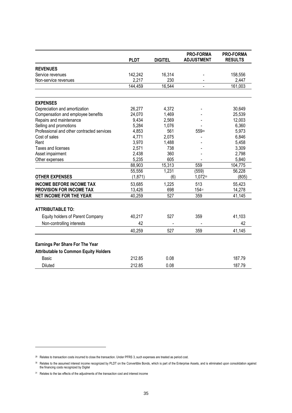|                                              | <b>PLDT</b> | <b>DIGITEL</b> | <b>PRO-FORMA</b><br><b>ADJUSTMENT</b> | <b>PRO-FORMA</b><br><b>RESULTS</b> |
|----------------------------------------------|-------------|----------------|---------------------------------------|------------------------------------|
|                                              |             |                |                                       |                                    |
| <b>REVENUES</b>                              |             |                |                                       |                                    |
| Service revenues                             | 142,242     | 16,314         |                                       | 158,556                            |
| Non-service revenues                         | 2,217       | 230            |                                       | 2,447                              |
|                                              | 144,459     | 16,544         |                                       | 161,003                            |
| <b>EXPENSES</b>                              |             |                |                                       |                                    |
| Depreciation and amortization                | 26,277      | 4,372          |                                       | 30,649                             |
| Compensation and employee benefits           | 24,070      | 1,469          |                                       | 25,539                             |
| Repairs and maintenance                      | 9,434       | 2,569          |                                       | 12,003                             |
| Selling and promotions                       | 5,284       | 1,076          |                                       | 6,360                              |
| Professional and other contracted services   | 4,853       | 561            | 55929                                 | 5,973                              |
| Cost of sales                                | 4,771       | 2,075          |                                       | 6,846                              |
| Rent                                         | 3,970       | 1,488          |                                       | 5,458                              |
| Taxes and licenses                           | 2,571       | 738            |                                       | 3,309                              |
| Asset impairment                             | 2,438       | 360            |                                       | 2,798                              |
| Other expenses                               | 5,235       | 605            |                                       | 5,840                              |
|                                              | 88,903      | 15,313         | 559                                   | 104,775                            |
|                                              | 55,556      | 1,231          | (559)                                 | 56,228                             |
| <b>OTHER EXPENSES</b>                        | (1, 871)    | (6)            | 1,07230                               | (805)                              |
| <b>INCOME BEFORE INCOME TAX</b>              | 53,685      | 1,225          | 513                                   | 55,423                             |
| PROVISION FOR INCOME TAX                     | 13,426      | 698            | 15431                                 | 14,278                             |
| <b>NET INCOME FOR THE YEAR</b>               | 40,259      | 527            | 359                                   | 41,145                             |
| <b>ATTRIBUTABLE TO:</b>                      |             |                |                                       |                                    |
| Equity holders of Parent Company             | 40,217      | 527            | 359                                   | 41,103                             |
| Non-controlling interests                    | 42          |                |                                       | 42                                 |
|                                              | 40,259      | 527            | 359                                   | 41,145                             |
| <b>Earnings Per Share For The Year</b>       |             |                |                                       |                                    |
| <b>Attributable to Common Equity Holders</b> |             |                |                                       |                                    |
| Basic                                        | 212.85      | 0.08           |                                       | 187.79                             |
| <b>Diluted</b>                               | 212.85      | 0.08           |                                       | 187.79                             |

-

<sup>29</sup> Relates to transaction costs incurred to close the transaction. Under PFRS 3, such expenses are treated as period cost.

<sup>30</sup> Relates to the assumed interest income recognized by PLDT on the Convertible Bonds, which is part of the Enterprise Assets, and is eliminated upon consolidation against the financing costs recognized by Digitel

<sup>&</sup>lt;sup>31</sup> Relates to the tax effects of the adjustments of the transaction cost and interest income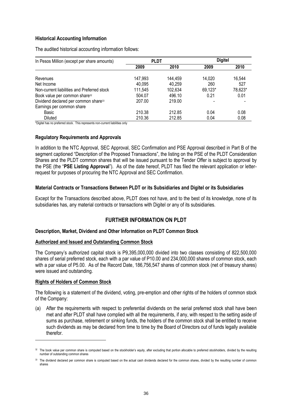#### **Historical Accounting Information**

The audited historical accounting information follows:

| In Pesos Million (except per share amounts)      | <b>PLDT</b> |         | <b>Digitel</b> |         |
|--------------------------------------------------|-------------|---------|----------------|---------|
|                                                  | 2009        | 2010    | 2009           | 2010    |
| Revenues                                         | 147,993     | 144,459 | 14,020         | 16,544  |
| Net Income                                       | 40,095      | 40,259  | 260            | 527     |
| Non-current liabilities and Preferred stock      | 111,545     | 102,634 | 69,123*        | 78,623* |
| Book value per common share <sup>32</sup>        | 504.07      | 496.10  | 0.21           | 0.01    |
| Dividend declared per common share <sup>33</sup> | 207.00      | 219.00  |                |         |
| Earnings per common share                        |             |         |                |         |
| Basic                                            | 210.38      | 212.85  | 0.04           | 0.08    |
| Diluted                                          | 210.36      | 212.85  | 0.04           | 0.08    |

\*Digitel has no preferred stock. This represents non-current liabilities only

#### **Regulatory Requirements and Approvals**

In addition to the NTC Approval, SEC Approval, SEC Confirmation and PSE Approval described in Part B of the segment captioned "Description of the Proposed Transactions", the listing on the PSE of the PLDT Consideration Shares and the PLDT common shares that will be issued pursuant to the Tender Offer is subject to approval by the PSE (the "**PSE Listing Approval**"). As of the date hereof, PLDT has filed the relevant application or letterrequest for purposes of procuring the NTC Approval and SEC Confirmation.

#### **Material Contracts or Transactions Between PLDT or its Subsidiaries and Digitel or its Subsidiaries**

Except for the Transactions described above, PLDT does not have, and to the best of its knowledge, none of its subsidiaries has, any material contracts or transactions with Digitel or any of its subsidiaries.

### **FURTHER INFORMATION ON PLDT**

#### **Description, Market, Dividend and Other Information on PLDT Common Stock**

#### **Authorized and Issued and Outstanding Common Stock**

The Company's authorized capital stock is P9,395,000,000 divided into two classes consisting of 822,500,000 shares of serial preferred stock, each with a par value of P10.00 and 234,000,000 shares of common stock, each with a par value of P5.00. As of the Record Date, 186,756,547 shares of common stock (net of treasury shares) were issued and outstanding.

#### **Rights of Holders of Common Stock**

-

The following is a statement of the dividend, voting, pre-emption and other rights of the holders of common stock of the Company:

(a) After the requirements with respect to preferential dividends on the serial preferred stock shall have been met and after PLDT shall have complied with all the requirements, if any, with respect to the setting aside of sums as purchase, retirement or sinking funds, the holders of the common stock shall be entitled to receive such dividends as may be declared from time to time by the Board of Directors out of funds legally available therefor.

<sup>&</sup>lt;sup>32</sup> The book value per common share is computed based on the stockholder's equity, after excluding that portion allocable to preferred stockholders, divided by the resulting number of outstanding common shares

<sup>33</sup> The dividend declared per common share is computed based on the actual cash dividends declared for the common shares, divided by the resulting number of common shares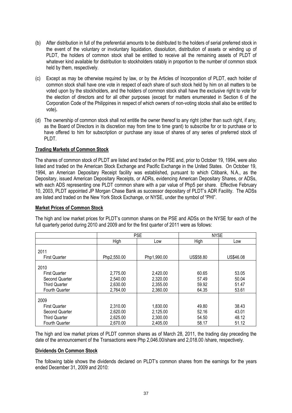- (b) After distribution in full of the preferential amounts to be distributed to the holders of serial preferred stock in the event of the voluntary or involuntary liquidation, dissolution, distribution of assets or winding up of PLDT, the holders of common stock shall be entitled to receive all the remaining assets of PLDT of whatever kind available for distribution to stockholders ratably in proportion to the number of common stock held by them, respectively.
- (c) Except as may be otherwise required by law, or by the Articles of Incorporation of PLDT, each holder of common stock shall have one vote in respect of each share of such stock held by him on all matters to be voted upon by the stockholders, and the holders of common stock shall have the exclusive right to vote for the election of directors and for all other purposes (except for matters enumerated in Section 6 of the Corporation Code of the Philippines in respect of which owners of non-voting stocks shall also be entitled to vote)**.**
- (d) The ownership of common stock shall not entitle the owner thereof to any right (other than such right, if any, as the Board of Directors in its discretion may from time to time grant) to subscribe for or to purchase or to have offered to him for subscription or purchase any issue of shares of any series of preferred stock of PLDT.

#### **Trading Markets of Common Stock**

The shares of common stock of PLDT are listed and traded on the PSE and, prior to October 19, 1994, were also listed and traded on the American Stock Exchange and Pacific Exchange in the United States. On October 19, 1994, an American Depositary Receipt facility was established, pursuant to which Citibank, N.A., as the Depositary, issued American Depositary Receipts, or ADRs, evidencing American Depositary Shares, or ADSs, with each ADS representing one PLDT common share with a par value of Php5 per share. Effective February 10, 2003, PLDT appointed JP Morgan Chase Bank as successor depositary of PLDT's ADR Facility. The ADSs are listed and traded on the New York Stock Exchange, or NYSE, under the symbol of "PHI".

#### **Market Prices of Common Stock**

|                      |             | <b>PSE</b>  |           | <b>NYSE</b> |
|----------------------|-------------|-------------|-----------|-------------|
|                      | High        | Low         | High      | Low         |
| 2011                 |             |             |           |             |
| <b>First Quarter</b> | Php2,550.00 | Php1,990.00 | US\$58.80 | US\$46.08   |
| 2010                 |             |             |           |             |
| <b>First Quarter</b> | 2,775.00    | 2,420.00    | 60.65     | 53.05       |
| Second Quarter       | 2,540.00    | 2,320.00    | 57.49     | 50.04       |
| <b>Third Quarter</b> | 2,630.00    | 2,355.00    | 59.92     | 51.47       |

2,360.00

1,830.00 2,125.00 2,300.00 2,405.00 64.35

49.80 52.16 54.50 58.17 53.61

38.43 43.01 48.12 51.12

2,764.00

2,310.00 2,620.00 2,625.00 2,670.00

The high and low market prices for PLDT's common shares on the PSE and ADSs on the NYSE for each of the full quarterly period during 2010 and 2009 and for the first quarter of 2011 were as follows:

The high and low market prices of PLDT common shares as of March 28, 2011, the trading day preceding the date of the announcement of the Transactions were Php 2,046.00/share and 2,018.00 /share, respectively.

#### **Dividends On Common Stock**

Fourth Quarter

 First Quarter Second Quarter Third Quarter Fourth Quarter

2009

The following table shows the dividends declared on PLDT's common shares from the earnings for the years ended December 31, 2009 and 2010: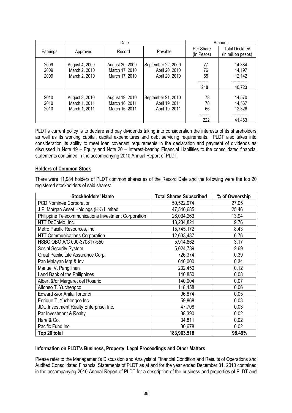|                      |                                                  | Date                                                |                                                        |                         | Amount                                      |
|----------------------|--------------------------------------------------|-----------------------------------------------------|--------------------------------------------------------|-------------------------|---------------------------------------------|
| Earnings             | Approved                                         | Record                                              | Payable                                                | Per Share<br>(In Pesos) | <b>Total Declared</b><br>(in million pesos) |
| 2009<br>2009<br>2009 | August 4, 2009<br>March 2, 2010<br>March 2, 2010 | August 20, 2009<br>March 17, 2010<br>March 17, 2010 | September 22, 2009<br>April 20, 2010<br>April 20, 2010 | 77<br>76<br>65<br>218   | 14,384<br>14,197<br>12,142<br>40,723        |
| 2010<br>2010<br>2010 | August 3, 2010<br>March 1, 2011<br>March 1, 2011 | August 19, 2010<br>March 16, 2011<br>March 16, 2011 | September 21, 2010<br>April 19, 2011<br>April 19, 2011 | 78<br>78<br>66<br>222   | 14,570<br>14,567<br>12,326<br>41,463        |

PLDT's current policy is to declare and pay dividends taking into consideration the interests of its shareholders as well as its working capital, capital expenditures and debt servicing requirements. PLDT also takes into consideration its ability to meet loan covenant requirements in the declaration and payment of dividends as discussed in Note 19 – Equity and Note 20 – Interest-bearing Financial Liabilities to the consolidated financial statements contained in the accompanying 2010 Annual Report of PLDT.

#### **Holders of Common Stock**

There were 11,984 holders of PLDT common shares as of the Record Date and the following were the top 20 registered stockholders of said shares:

| <b>Stockholders' Name</b>                            | <b>Total Shares Subscribed</b> | % of Ownership |
|------------------------------------------------------|--------------------------------|----------------|
| <b>PCD Nominee Corporation</b>                       | 50,522,974                     | 27.05          |
| J.P. Morgan Asset Holdings (HK) Limited              | 47,546,685                     | 25.46          |
| Philippine Telecommunications Investment Corporation | 26,034,263                     | 13.94          |
| NTT DoCoMo, Inc.                                     | 18,234,821                     | 9.76           |
| Metro Pacific Resources, Inc.                        | 15,745,172                     | 8.43           |
| <b>NTT Communications Corporation</b>                | 12,633,487                     | 6.76           |
| HSBC OBO A/C 000-370817-550                          | 5,914,862                      | 3.17           |
| Social Security System                               | 5,024,789                      | 2.69           |
| Great Pacific Life Assurance Corp.                   | 726,374                        | 0.39           |
| Pan Malayan Mgt & Inv                                | 640,000                        | 0.34           |
| Manuel V. Pangilinan                                 | 232,450                        | 0.12           |
| Land Bank of the Philippines                         | 140,850                        | 0.08           |
| Albert &/or Margaret del Rosario                     | 140,004                        | 0.07           |
| Alfonso T. Yuchengco                                 | 118,458                        | 0.06           |
| Edward &/or Anita Tortorici                          | 96,874                         | 0.05           |
| Enrique T. Yuchengco Inc.                            | 59,868                         | 0.03           |
| JDC Investment Realty Enterprise, Inc.               | 47,708                         | 0.03           |
| Par Investment & Realty                              | 38,390                         | 0.02           |
| Hare & Co.                                           | 34,811                         | 0.02           |
| Pacific Fund Inc.                                    | 30,678                         | 0.02           |
| Top 20 total                                         | 183,963,518                    | 98.49%         |

#### **Information on PLDT's Business, Property, Legal Proceedings and Other Matters**

Please refer to the Management's Discussion and Analysis of Financial Condition and Results of Operations and Audited Consolidated Financial Statements of PLDT as at and for the year ended December 31, 2010 contained in the accompanying 2010 Annual Report of PLDT for a description of the business and properties of PLDT and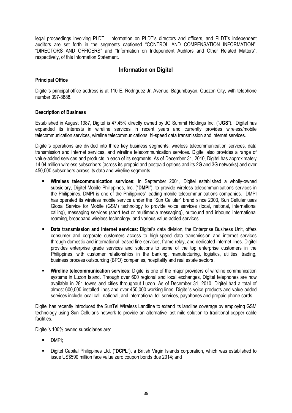legal proceedings involving PLDT. Information on PLDT's directors and officers, and PLDT's independent auditors are set forth in the segments captioned "CONTROL AND COMPENSATION INFORMATION", "DIRECTORS AND OFFICERS" and "Information on Independent Auditors and Other Related Matters", respectively, of this Information Statement.

# **Information on Digitel**

#### **Principal Office**

Digitel's principal office address is at 110 E. Rodriguez Jr. Avenue, Bagumbayan, Quezon City, with telephone number 397-8888.

#### **Description of Business**

Established in August 1987, Digitel is 47.45% directly owned by JG Summit Holdings Inc. ("**JGS**"). Digitel has expanded its interests in wireline services in recent years and currently provides wireless/mobile telecommunication services, wireline telecommunications, hi-speed data transmission and internet services.

Digitel's operations are divided into three key business segments: wireless telecommunication services, data transmission and internet services, and wireline telecommunication services. Digitel also provides a range of value-added services and products in each of its segments. As of December 31, 2010, Digitel has approximately 14.04 million wireless subscribers (across its prepaid and postpaid options and its 2G and 3G networks) and over 450,000 subscribers across its data and wireline segments.

- **Wireless telecommunication services:** In September 2001, Digitel established a wholly-owned subsidiary, Digitel Mobile Philippines, Inc. ("**DMPI**"), to provide wireless telecommunications services in the Philippines. DMPI is one of the Philippines' leading mobile telecommunications companies. DMPI has operated its wireless mobile service under the "Sun Cellular" brand since 2003, Sun Cellular uses Global Service for Mobile (GSM) technology to provide voice services (local, national, international calling), messaging services (short text or multimedia messaging), outbound and inbound international roaming, broadband wireless technology, and various value-added services.
- **Data transmission and internet services:** Digitel's data division, the Enterprise Business Unit, offers consumer and corporate customers access to high-speed data transmission and internet services through domestic and international leased line services, frame relay, and dedicated internet lines. Digitel provides enterprise grade services and solutions to some of the top enterprise customers in the Philippines, with customer relationships in the banking, manufacturing, logistics, utilities, trading, business process outsourcing (BPO) companies, hospitality and real estate sectors.
- **Wireline telecommunication services:** Digitel is one of the major providers of wireline communication systems in Luzon Island. Through over 600 regional and local exchanges, Digitel telephones are now available in 281 towns and cities throughout Luzon. As of December 31, 2010, Digitel had a total of almost 600,000 installed lines and over 450,000 working lines. Digitel's voice products and value-added services include local call, national, and international toll services, payphones and prepaid phone cards.

Digitel has recently introduced the SunTel Wireless Landline to extend its landline coverage by employing GSM technology using Sun Cellular's network to provide an alternative last mile solution to traditional copper cable facilities.

Digitel's 100% owned subsidiaries are:

- DMPI;
- Digitel Capital Philippines Ltd. ("**DCPL**"), a British Virgin Islands corporation, which was established to issue US\$590 million face value zero coupon bonds due 2014; and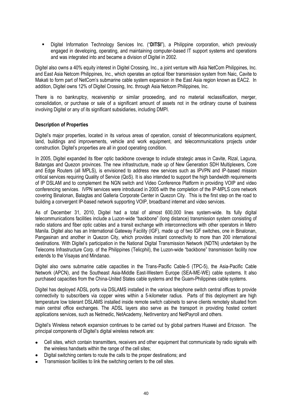Digitel Information Technology Services Inc. ("**DITSI**"), a Philippine corporation, which previously engaged in developing, operating, and maintaining computer-based IT support systems and operations and was integrated into and became a division of Digitel in 2002.

Digitel also owns a 40% equity interest in Digitel Crossing, Inc., a joint venture with Asia NetCom Philippines, Inc. and East Asia Netcom Philippines, Inc., which operates an optical fiber transmission system from Naic, Cavite to Makati to form part of NetCom's submarine cable system expansion in the East Asia region known as EAC2. In addition, Digitel owns 12% of Digitel Crossing, Inc. through Asia Netcom Philippines, Inc.

There is no bankruptcy, receivership or similar proceeding, and no material reclassification, merger, consolidation, or purchase or sale of a significant amount of assets not in the ordinary course of business involving Digitel or any of its significant subsidiaries, including DMPI.

#### **Description of Properties**

Digitel's major properties, located in its various areas of operation, consist of telecommunications equipment, land, buildings and improvements, vehicle and work equipment, and telecommunications projects under construction. Digitel's properties are all in good operating condition.

In 2005, Digitel expanded its fiber optic backbone coverage to include strategic areas in Cavite, Rizal, Laguna, Batangas and Quezon provinces. The new infrastructure, made up of New Generation SDH Multiplexers, Core and Edge Routers (all MPLS), is envisioned to address new services such as IPVPN and IP-based mission critical services requiring Quality of Service (QoS). It is also intended to support the high bandwidth requirements of IP DSLAM and to complement the NGN switch and Video Conference Platform in providing VOIP and video conferencing services. IVPN services were introduced in 2005 with the completion of the IP-MPLS core network covering Binalonan, Balagtas and Galleria Corporate Center in Quezon City. This is the first step on the road to building a convergent IP-based network supporting VOIP, broadband internet and video services.

As of December 31, 2010, Digitel had a total of almost 600,000 lines system-wide. Its fully digital telecommunications facilities include a Luzon-wide "backbone" (long distance) transmission system consisting of radio stations and fiber optic cables and a transit exchange with interconnections with other operators in Metro Manila. Digitel also has an International Gateway Facility (IGF), made up of two IGF switches, one in Binalonan, Pangasinan and another in Quezon City, which provides instant connectivity to more than 200 international destinations. With Digitel's participation in the National Digital Transmission Network (NDTN) undertaken by the Telecoms Infrastructure Corp. of the Philippines (Telicphil), the Luzon-wide "backbone" transmission facility now extends to the Visayas and Mindanao.

Digitel also owns submarine cable capacities in the Trans-Pacific Cable-5 (TPC-5), the Asia-Pacific Cable Network (APCN), and the Southeast Asia-Middle East-Western Europe (SEA-ME-WE) cable systems. It also purchased capacities from the China-United States cable systems and the Guam-Philippines cable systems.

Digitel has deployed ADSL ports via DSLAMS installed in the various telephone switch central offices to provide connectivity to subscribers via copper wires within a 5-kilometer radius. Parts of this deployment are high temperature low tolerant DSLAMS installed inside remote switch cabinets to serve clients remotely situated from main central office exchanges. The ADSL layers also serve as the transport in providing hosted content applications services, such as Netmedic, NetAcademy, NetInventory and NetPayroll and others.

Digitel's Wireless network expansion continues to be carried out by global partners Huawei and Ericsson. The principal components of Digitel's digital wireless network are:

- Cell sites, which contain transmitters, receivers and other equipment that communicate by radio signals with the wireless handsets within the range of the cell sites;
- Digital switching centers to route the calls to the proper destinations; and
- Transmission facilities to link the switching centers to the cell sites.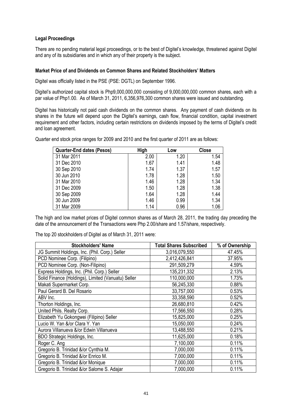#### **Legal Proceedings**

There are no pending material legal proceedings, or to the best of Digitel's knowledge, threatened against Digitel and any of its subsidiaries and in which any of their property is the subject.

#### **Market Price of and Dividends on Common Shares and Related Stockholders' Matters**

Digitel was officially listed in the PSE (PSE: DGTL) on September 1996.

Digitel's authorized capital stock is Php9,000,000,000 consisting of 9,000,000,000 common shares, each with a par value of Php1.00. As of March 31, 2011, 6,356,976,300 common shares were issued and outstanding.

Digitel has historically not paid cash dividends on the common shares. Any payment of cash dividends on its shares in the future will depend upon the Digitel's earnings, cash flow, financial condition, capital investment requirement and other factors, including certain restrictions on dividends imposed by the terms of Digitel's credit and loan agreement.

Quarter end stock price ranges for 2009 and 2010 and the first quarter of 2011 are as follows:

| <b>Quarter-End dates (Pesos)</b> | High | Low  | <b>Close</b> |
|----------------------------------|------|------|--------------|
| 31 Mar 2011                      | 2.00 | 1.20 | 1.54         |
| 31 Dec 2010                      | 1.67 | 1.41 | 1.48         |
| 30 Sep 2010                      | 1.74 | 1.37 | 1.57         |
| 30 Jun 2010                      | 1.78 | 1.28 | 1.50         |
| 31 Mar 2010                      | 1.46 | 1.28 | 1.34         |
| 31 Dec 2009                      | 1.50 | 1.28 | 1.38         |
| 30 Sep 2009                      | 1.64 | 1.28 | 1.44         |
| 30 Jun 2009                      | 1.46 | 0.99 | 1.34         |
| 31 Mar 2009                      | 1.14 | 0.96 | 1.06         |

The high and low market prices of Digitel common shares as of March 28, 2011, the trading day preceding the date of the announcement of the Transactions were Php 2.00/share and 1.57/share, respectively.

| <b>Stockholders' Name</b>                          | <b>Total Shares Subscribed</b> | % of Ownership |
|----------------------------------------------------|--------------------------------|----------------|
| JG Summit Holdings, Inc. (Phil. Corp.) Seller      | 3,016,079,550                  | 47.45%         |
| PCD Nominee Corp. (Filipino)                       | 2,412,426,841                  | 37.95%         |
| PCD Nominee Corp. (Non-Filipino)                   | 291,509,279                    | 4.59%          |
| Express Holdings, Inc. (Phil. Corp.) Seller        | 135,231,332                    | 2.13%          |
| Solid Finance (Holdings), Limited (Vanuatu) Seller | 110,000,000                    | 1.73%          |
| Makati Supermarket Corp.                           | 56,245,330                     | 0.88%          |
| Paul Gerard B. Del Rosario                         | 33,757,000                     | 0.53%          |
| ABV Inc.                                           | 33,358,590                     | 0.52%          |
| Thorton Holdings, Inc.                             | 26,680,810                     | 0.42%          |
| United Phils. Realty Corp.                         | 17,566,550                     | 0.28%          |
| Elizabeth Yu Gokongwei (Filipino) Seller           | 15,825,000                     | 0.25%          |
| Lucio W. Yan &/or Clara Y. Yan                     | 15,050,000                     | 0.24%          |
| Aurora Villanueva &/or Edwin Villanueva            | 13,488,550                     | 0.21%          |
| BDO Strategic Holdings, Inc.                       | 11,625,000                     | 0.18%          |
| Roger C. Ang                                       | 7,100,000                      | 0.11%          |
| Gregorio B. Trinidad &/or Cynthia M.               | 7,000,000                      | 0.11%          |
| Gregorio B. Trinidad &/or Enrico M.                | 7,000,000                      | 0.11%          |
| Gregorio B. Trinidad &/or Monique                  | 7,000,000                      | 0.11%          |
| Gregorio B. Trinidad &/or Salome S. Adajar         | 7,000,000                      | 0.11%          |

The top 20 stockholders of Digitel as of March 31, 2011 were: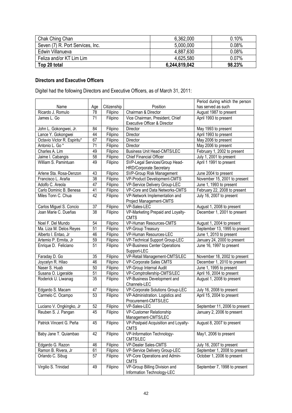| Chak Ching Chan                  | 6,362,000     | 0.10%  |
|----------------------------------|---------------|--------|
| Seven (7) R. Port Services, Inc. | 5,000,000     | 0.08%  |
| Edwin Villanueva                 | 4,887,630     | 0.08%  |
| Feliza and/or KT Lim Lim         | 4,625,580     | 0.07%  |
| Top 20 total                     | 6,244,819,042 | 98.23% |

# **Directors and Executive Officers**

Digitel had the following Directors and Executive Officers, as of March 31, 2011:

|                             |                 |             |                                                  | Period during which the person |
|-----------------------------|-----------------|-------------|--------------------------------------------------|--------------------------------|
| Name                        | Age             | Citizenship | Position                                         | has served as such             |
| Ricardo J. Romulo           | 78              | Filipino    | Chairman & Director                              | August 1987 to present         |
| James L. Go                 | 71              | Filipino    | Vice Chairman, President, Chief                  | April 1993 to present          |
|                             |                 |             | Executive Officer & Director                     |                                |
| John L. Gokongwei, Jr.      | 84              | Filipino    | Director                                         | May 1993 to present            |
| Lance Y. Gokongwei          | 44              | Filipino    | Director                                         | April 1993 to present          |
| Octavio Victor R. Espiritu* | 67              | Filipino    | Director                                         | May 2006 to present            |
| Antonio L. Go <sup>*</sup>  | 71              | Filipino    | Director                                         | May 2006 to present            |
| Charles A. Lim              | 49              | Filipino    | <b>Business Unit Head-CMTS/LEC</b>               | February 1, 2002 to present    |
| Jaime I. Cabangis           | $\overline{58}$ | Filipino    | <b>Chief Financial Officer</b>                   | July 1, 2001 to present        |
| William S. Pamintuan        | 49              | Filipino    | SVP-Legal Services/Group Head-                   | April 1 1991 to present        |
|                             |                 |             | <b>HRD/Corporate Secretary</b>                   |                                |
| Arlene Sta. Rosa-Denzon     | 43              | Filipino    | SVP-Group Risk Management                        | June 2004 to present           |
| Francisco L. Araña          | $\overline{38}$ | Filipino    | VP-Product Development-CMTS                      | November 15, 2001 to present   |
| Adolfo C. Areola            | 47              | Filipino    | VP-Service Delivery Group-LEC                    | June 1, 1993 to present        |
| Carlo Dominic B. Benesa     | 41              | Filipino    | VP-Core and Data Networks-CMTS                   | February 22, 2008 to present   |
| Miles Tonn C. Chua          | 42              | Filipino    | VP-Network Implementation and                    | July 16, 2007 to present       |
|                             |                 |             | Project Management-CMTS                          |                                |
| Carlos Miguel S. Concio     | 37              | Filipino    | VP-Sales-LEC                                     | August 1, 2008 to present      |
| Joan Marie C. Dueñas        | 38              | Filipino    | VP-Marketing Prepaid and Loyalty-<br><b>CMTS</b> | December 1, 2001 to present    |
| Noel F. Del Mundo           | 54              | Filipino    | VP-Human Resources-CMTS                          | August 1, 2004 to present      |
| Ma. Liza M. Delos Reyes     | 51              | Filipino    | VP-Group Treasury                                | September 13, 1995 to present  |
| Alberto I. Entao, Jr        | 46              | Filipino    | VP-Human Resources-LEC                           | June 1, 2010 to present        |
| Artemio P. Ermita, Jr       | 59              | Filipino    | VP-Technical Support Group-LEC                   | January 24, 2000 to present    |
| Enrique D. Feliciano        | $\overline{51}$ | Filipino    | <b>VP-Business Center Operations</b>             | June 16, 1997 to present       |
|                             |                 |             | Support-LEC                                      |                                |
| Faraday D. Go               | 35              | Filipino    | VP-Retail Management-CMTS/LEC                    | November 18, 2002 to present   |
| Joycelyn R. Hilao           | 46              | Filipino    | VP-Corporate Sales CMTS                          | December 1, 2010 to present    |
| Naser S. Huab               | 50              | Filipino    | VP-Group Internal Audit                          | June 1, 1995 to present        |
| Susana O. Ligeralde         | 51              | Filipino    | VP-Comptrollership-CMTS/LEC                      | April 16, 2004 to present      |
| Roderick U. Liwanag         | $\overline{35}$ | Filipino    | VP-Business Development and                      | August 1, 2008 to present      |
|                             |                 |             | Channels-LEC                                     |                                |
| Edgardo S. Macam            | 47              | Filipino    | VP-Corporate Solutions Group-LEC                 | July 16, 2008 to present       |
| Carmelo C. Ocampo           | 53              | Filipino    | VP-Administration. Logistics and                 | April 15, 2004 to present      |
|                             |                 |             | Procurement-CMTS/LEC                             |                                |
| Luciano V. Ongkingko, Jr    | 52              | Filipino    | VP-Sales-LEC                                     | September 11, 2006 to present  |
| Reuben S. J. Pangan         | 45              | Filipino    | VP-Customer Relationship                         | January 2, 2006 to present     |
|                             |                 |             | Management-CMTS/LEC                              |                                |
| Patrick Vincent G. Peña     | 45              | Filipino    | VP-Postpaid Acquisition and Loyalty-             | August 8, 2007 to present      |
|                             |                 |             | <b>CMTS</b>                                      |                                |
| Baby Jane T. Quiambao       | 42              | Filipino    | VP-Information Technology-                       | May1, 2006 to present          |
|                             |                 |             | CMTS/LEC                                         |                                |
| Edgardo G. Razon            | 46              | Filipino    | VP-Dealer Sales-CMTS                             | July 16, 2007 to present       |
| Ramon B. Rivera, Jr         | 61              | Filipino    | VP-Service Delivery Group-LEC                    | September 1, 2008 to present   |
| Orlando C. Sibug            | 57              | Filipino    | VP-Core Operations and Admin-<br><b>CMTS</b>     | October 1, 2006 to present     |
| Virgilio S. Trinidad        | 49              | Filipino    | VP-Group Billing Division and                    | September 7, 1998 to present   |
|                             |                 |             | Information Technology-LEC                       |                                |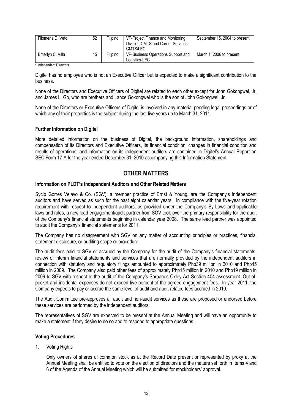| Filomena D. Veto | 52 | Filipino | VP-Project Finance and Monitoring<br>Division-CMTS and Carrier Services-<br>CMTS/LEC | September 15, 2004 to present |
|------------------|----|----------|--------------------------------------------------------------------------------------|-------------------------------|
| Emerlyn C. Villa | 45 | Filipino | VP-Business Operations Support and<br>Logistics-LEC                                  | March 1, 2006 to present      |

**\*** Independent Directors

Digitel has no employee who is not an Executive Officer but is expected to make a significant contribution to the business.

None of the Directors and Executive Officers of Digitel are related to each other except for John Gokongwei, Jr. and James L. Go, who are brothers and Lance Gokongwei who is the son of John Gokongwei, Jr.

None of the Directors or Executive Officers of Digitel is involved in any material pending legal proceedings or of which any of their properties is the subject during the last five years up to March 31, 2011.

#### **Further Information on Digitel**

More detailed information on the business of Digitel, the background information, shareholdings and compensation of its Directors and Executive Officers, its financial condition, changes in financial condition and results of operations, and information on its independent auditors are contained in Digitel's Annual Report on SEC Form 17-A for the year ended December 31, 2010 accompanying this Information Statement.

# **OTHER MATTERS**

#### **Information on PLDT's Independent Auditors and Other Related Matters**

Sycip Gorres Velayo & Co. (SGV), a member practice of Ernst & Young, are the Company's independent auditors and have served as such for the past eight calendar years. In compliance with the five-year rotation requirement with respect to independent auditors, as provided under the Company's By-Laws and applicable laws and rules, a new lead engagement/audit partner from SGV took over the primary responsibility for the audit of the Company's financial statements beginning in calendar year 2008. The same lead partner was appointed to audit the Company's financial statements for 2011.

The Company has no disagreement with SGV on any matter of accounting principles or practices, financial statement disclosure, or auditing scope or procedure.

The audit fees paid to SGV or accrued by the Company for the audit of the Company's financial statements, review of interim financial statements and services that are normally provided by the independent auditors in connection with statutory and regulatory filings amounted to approximately Php39 million in 2010 and Php45 million in 2009. The Company also paid other fees of approximately Php15 million in 2010 and Php19 million in 2009 to SGV with respect to the audit of the Company's Sarbanes-Oxley Act Section 404 assessment. Out-ofpocket and incidental expenses do not exceed five percent of the agreed engagement fees. In year 2011, the Company expects to pay or accrue the same level of audit and audit-related fees accrued in 2010.

The Audit Committee pre-approves all audit and non-audit services as these are proposed or endorsed before these services are performed by the independent auditors.

The representatives of SGV are expected to be present at the Annual Meeting and will have an opportunity to make a statement if they desire to do so and to respond to appropriate questions.

#### **Voting Procedures**

1. Voting Rights

Only owners of shares of common stock as at the Record Date present or represented by proxy at the Annual Meeting shall be entitled to vote on the election of directors and the matters set forth in Items 4 and 6 of the Agenda of the Annual Meeting which will be submitted for stockholders' approval.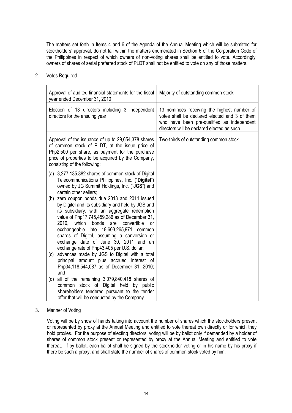The matters set forth in Items 4 and 6 of the Agenda of the Annual Meeting which will be submitted for stockholders' approval, do not fall within the matters enumerated in Section 6 of the Corporation Code of the Philippines in respect of which owners of non-voting shares shall be entitled to vote. Accordingly, owners of shares of serial preferred stock of PLDT shall not be entitled to vote on any of those matters.

- Approval of audited financial statements for the fiscal year ended December 31, 2010 Majority of outstanding common stock Election of 13 directors including 3 independent directors for the ensuing year 13 nominees receiving the highest number of votes shall be declared elected and 3 of them who have been pre-qualified as independent directors will be declared elected as such Approval of the issuance of up to 29,654,378 shares of common stock of PLDT, at the issue price of Php2,500 per share, as payment for the purchase price of properties to be acquired by the Company, consisting of the following: (a) 3,277,135,882 shares of common stock of Digital Telecommunications Philippines, Inc. ("**Digitel**") owned by JG Summit Holdings, Inc. ("**JGS**") and certain other sellers; (b) zero coupon bonds due 2013 and 2014 issued by Digitel and its subsidiary and held by JGS and its subsidiary, with an aggregate redemption value of Php17,745,459,286 as of December 31, 2010, which bonds are convertible or exchangeable into 18,603,265,971 common shares of Digitel, assuming a conversion or exchange date of June 30, 2011 and an exchange rate of Php43.405 per U.S. dollar; (c) advances made by JGS to Digitel with a total principal amount plus accrued interest of Php34,118,544,087 as of December 31, 2010; and (d) all of the remaining 3,079,840,418 shares of common stock of Digitel held by public shareholders tendered pursuant to the tender offer that will be conducted by the Company Two-thirds of outstanding common stock
- 2. Votes Required

3. Manner of Voting

Voting will be by show of hands taking into account the number of shares which the stockholders present or represented by proxy at the Annual Meeting and entitled to vote thereat own directly or for which they hold proxies. For the purpose of electing directors, voting will be by ballot only if demanded by a holder of shares of common stock present or represented by proxy at the Annual Meeting and entitled to vote thereat. If by ballot, each ballot shall be signed by the stockholder voting or in his name by his proxy if there be such a proxy, and shall state the number of shares of common stock voted by him.